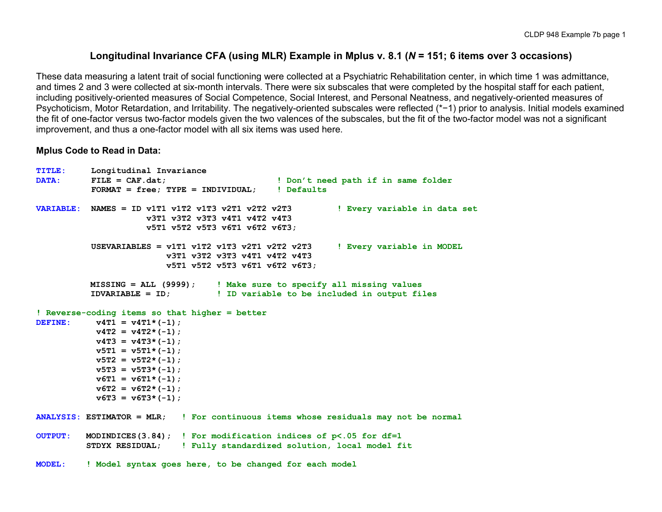### **Longitudinal Invariance CFA (using MLR) Example in Mplus v. 8.1 (***N* **= 151; 6 items over 3 occasions)**

These data measuring a latent trait of social functioning were collected at a Psychiatric Rehabilitation center, in which time 1 was admittance, and times 2 and 3 were collected at six-month intervals. There were six subscales that were completed by the hospital staff for each patient, including positively-oriented measures of Social Competence, Social Interest, and Personal Neatness, and negatively-oriented measures of Psychoticism, Motor Retardation, and Irritability. The negatively-oriented subscales were reflected (\*−1) prior to analysis. Initial models examined the fit of one-factor versus two-factor models given the two valences of the subscales, but the fit of the two-factor model was not a significant improvement, and thus a one-factor model with all six items was used here.

#### **Mplus Code to Read in Data:**

```
TITLE: Longitudinal Invariance
                                              ! Don't need path if in same folder
           FORMAT = free; TYPE = INDIVIDUAL; ! Defaults
VARIABLE: NAMES = ID v1T1 v1T2 v1T3 v2T1 v2T2 v2T3 ! Every variable in data set
                      v3T1 v3T2 v3T3 v4T1 v4T2 v4T3
                      v5T1 v5T2 v5T3 v6T1 v6T2 v6T3;
           USEVARIABLES = v1T1 v1T2 v1T3 v2T1 v2T2 v2T3 ! Every variable in MODEL
                          v3T1 v3T2 v3T3 v4T1 v4T2 v4T3
                          v5T1 v5T2 v5T3 v6T1 v6T2 v6T3;
          MISSING = ALL (9999); ! Make sure to specify all missing values
                                 ID variable to be included in output files
! Reverse-coding items so that higher = better
DEFINE: v4T1 = v4T1*(-1);
           v4T2 = v4T2*(-1);
           v4T3 = v4T3*(-1);
           v5T1 = v5T1 * (-1);
           v5T2 = v5T2*(-1);
           v5T3 = v5T3*(-1);
           v6T1 = v6T1*(-1);
           v6T2 = v6T2 * (-1);
           v6T3 = v6T3*(-1);
ANALYSIS: ESTIMATOR = MLR; ! For continuous items whose residuals may not be normal
OUTPUT: MODINDICES(3.84); ! For modification indices of p<.05 for df=1
          STDYX RESIDUAL; ! Fully standardized solution, local model fit
MODEL: ! Model syntax goes here, to be changed for each model
```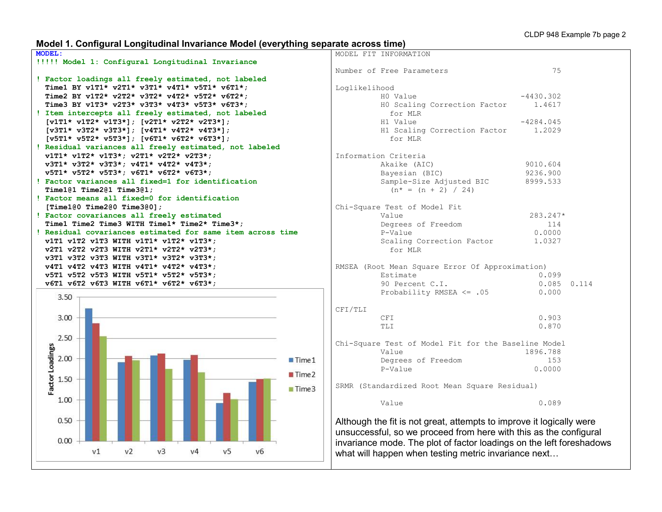# **Model 1. Configural Longitudinal Invariance Model (everything separate across time)**

|               | MODEL FIT INFORMATION                                                |             |       |
|---------------|----------------------------------------------------------------------|-------------|-------|
|               | Number of Free Parameters                                            | 75          |       |
| Loglikelihood |                                                                      |             |       |
|               | HO Value                                                             | $-4430.302$ |       |
|               | HO Scaling Correction Factor<br>for MLR                              | 1.4617      |       |
|               | H1 Value                                                             | $-4284.045$ |       |
|               | H1 Scaling Correction Factor<br>for MLR                              | 1,2029      |       |
|               | Information Criteria                                                 |             |       |
|               | Akaike (AIC)                                                         | 9010.604    |       |
|               | Bayesian (BIC)                                                       | 9236.900    |       |
|               | Sample-Size Adjusted BIC                                             | 8999.533    |       |
|               | $(n^* = (n + 2) / 24)$                                               |             |       |
|               | Chi-Square Test of Model Fit                                         |             |       |
|               | Value                                                                | 283.247*    |       |
|               | Degrees of Freedom                                                   | 114         |       |
|               | P-Value                                                              | 0.0000      |       |
|               | Scaling Correction Factor<br>for MLR                                 | 1.0327      |       |
|               | RMSEA (Root Mean Square Error Of Approximation)                      |             |       |
|               | Estimate                                                             | 0.099       |       |
|               | 90 Percent C.I.                                                      | 0.085       | 0.114 |
|               | Probability RMSEA $\leq$ .05                                         | 0.000       |       |
| CFI/TLI       |                                                                      |             |       |
|               | CFI                                                                  | 0.903       |       |
|               | TLI                                                                  | 0.870       |       |
|               | Chi-Square Test of Model Fit for the Baseline Model                  |             |       |
|               | Value                                                                | 1896.788    |       |
|               | Degrees of Freedom                                                   | 153         |       |
|               | P-Value                                                              | 0.0000      |       |
|               | SRMR (Standardized Root Mean Square Residual)                        |             |       |
|               | Value                                                                | 0.089       |       |
|               | Although the fit is not great, attempts to improve it logically were |             |       |
|               | unsuccessful, so we proceed from here with this as the configural    |             |       |
|               | invariance mode. The plot of factor loadings on the left foreshadows |             |       |

what will happen when testing metric invariance next…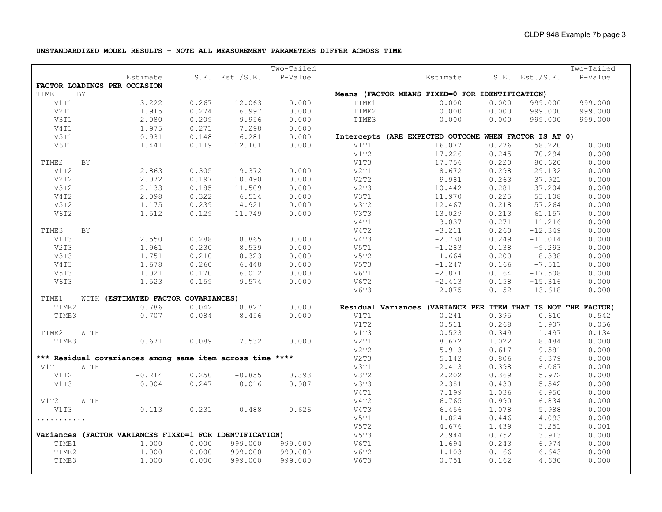**UNSTANDARDIZED MODEL RESULTS – NOTE ALL MEASUREMENT PARAMETERS DIFFER ACROSS TIME**

|       |           |                                                           |       |                     | Two-Tailed |       |                                                               |       |                     | Two-Tailed |
|-------|-----------|-----------------------------------------------------------|-------|---------------------|------------|-------|---------------------------------------------------------------|-------|---------------------|------------|
|       |           | Estimate                                                  |       | $S.E.$ Est./ $S.E.$ | P-Value    |       | Estimate                                                      |       | $S.E.$ Est./ $S.E.$ | P-Value    |
|       |           | FACTOR LOADINGS PER OCCASION                              |       |                     |            |       |                                                               |       |                     |            |
| TIME1 | BY        |                                                           |       |                     |            |       | Means (FACTOR MEANS FIXED=0 FOR IDENTIFICATION)               |       |                     |            |
| V1T1  |           | 3.222                                                     | 0.267 | 12.063              | 0.000      | TIME1 | 0.000                                                         | 0.000 | 999.000             | 999.000    |
| V2T1  |           | 1.915                                                     | 0.274 | 6.997               | 0.000      | TIME2 | 0.000                                                         | 0.000 | 999.000             | 999.000    |
| V3T1  |           | 2.080                                                     | 0.209 | 9.956               | 0.000      | TIME3 | 0.000                                                         | 0.000 | 999.000             | 999.000    |
| V4T1  |           | 1.975                                                     | 0.271 | 7.298               | 0.000      |       |                                                               |       |                     |            |
| V5T1  |           | 0.931                                                     | 0.148 | 6.281               | 0.000      |       | Intercepts (ARE EXPECTED OUTCOME WHEN FACTOR IS AT 0)         |       |                     |            |
| V6T1  |           | 1.441                                                     | 0.119 | 12.101              | 0.000      | V1T1  | 16.077                                                        | 0.276 | 58.220              | 0.000      |
|       |           |                                                           |       |                     |            | V1T2  | 17.226                                                        | 0.245 | 70.294              | 0.000      |
| TIME2 | <b>BY</b> |                                                           |       |                     |            | V1T3  | 17.756                                                        | 0.220 | 80.620              | 0.000      |
| V1T2  |           | 2.863                                                     | 0.305 | 9.372               | 0.000      | V2T1  | 8.672                                                         | 0.298 | 29.132              | 0.000      |
| V2T2  |           | 2.072                                                     | 0.197 | 10.490              | 0.000      | V2T2  | 9.981                                                         | 0.263 | 37.921              | 0.000      |
| V3T2  |           | 2.133                                                     | 0.185 | 11.509              | 0.000      | V2T3  | 10.442                                                        | 0.281 | 37.204              | 0.000      |
| V4T2  |           | 2.098                                                     | 0.322 | 6.514               | 0.000      | V3T1  | 11.970                                                        | 0.225 | 53.108              | 0.000      |
| V5T2  |           | 1.175                                                     | 0.239 | 4.921               | 0.000      | V3T2  | 12.467                                                        | 0.218 | 57.264              | 0.000      |
| V6T2  |           | 1.512                                                     | 0.129 | 11.749              | 0.000      | V3T3  | 13.029                                                        | 0.213 | 61.157              | 0.000      |
|       |           |                                                           |       |                     |            | V4T1  | $-3.037$                                                      | 0.271 | $-11.216$           | 0.000      |
| TIME3 | <b>BY</b> |                                                           |       |                     |            | V4T2  | $-3.211$                                                      | 0.260 | $-12.349$           | 0.000      |
| V1T3  |           | 2.550                                                     | 0.288 | 8.865               | 0.000      | V4T3  | $-2.738$                                                      | 0.249 | $-11.014$           | 0.000      |
| V2T3  |           | 1.961                                                     | 0.230 | 8.539               | 0.000      | V5T1  | $-1.283$                                                      | 0.138 | $-9.293$            | 0.000      |
| V3T3  |           | 1.751                                                     | 0.210 | 8.323               | 0.000      | V5T2  | $-1.664$                                                      | 0.200 | $-8.338$            | 0.000      |
| V4T3  |           | 1.678                                                     | 0.260 | 6.448               | 0.000      | V5T3  | $-1.247$                                                      | 0.166 | $-7.511$            | 0.000      |
| V5T3  |           | 1.021                                                     | 0.170 | 6.012               | 0.000      | V6T1  | $-2.871$                                                      | 0.164 | $-17.508$           | 0.000      |
| V6T3  |           | 1.523                                                     | 0.159 | 9.574               | 0.000      | V6T2  | $-2.413$                                                      | 0.158 | $-15.316$           | 0.000      |
|       |           |                                                           |       |                     |            | V6T3  | $-2.075$                                                      | 0.152 | $-13.618$           | 0.000      |
| TIME1 |           | WITH (ESTIMATED FACTOR COVARIANCES)                       |       |                     |            |       |                                                               |       |                     |            |
| TIME2 |           | 0.786                                                     | 0.042 | 18.827              | 0.000      |       | Residual Variances (VARIANCE PER ITEM THAT IS NOT THE FACTOR) |       |                     |            |
| TIME3 |           | 0.707                                                     | 0.084 | 8.456               | 0.000      | V1T1  | 0.241                                                         | 0.395 | 0.610               | 0.542      |
|       |           |                                                           |       |                     |            | V1T2  | 0.511                                                         | 0.268 | 1.907               | 0.056      |
| TIME2 | WITH      |                                                           |       |                     |            | V1T3  | 0.523                                                         | 0.349 | 1.497               | 0.134      |
| TIME3 |           | 0.671                                                     | 0.089 | 7.532               | 0.000      | V2T1  | 8.672                                                         | 1.022 | 8.484               | 0.000      |
|       |           |                                                           |       |                     |            | V2T2  | 5.913                                                         | 0.617 | 9.581               | 0.000      |
|       |           | *** Residual covariances among same item across time **** |       |                     |            | V2T3  | 5.142                                                         | 0.806 | 6.379               | 0.000      |
| V1T1  | WITH      |                                                           |       |                     |            | V3T1  | 2.413                                                         | 0.398 | 6.067               | 0.000      |
| V1T2  |           | $-0.214$                                                  | 0.250 | $-0.855$            | 0.393      | V3T2  | 2.202                                                         | 0.369 | 5.972               | 0.000      |
| V1T3  |           | $-0.004$                                                  | 0.247 | $-0.016$            | 0.987      | V3T3  | 2.381                                                         | 0.430 | 5.542               | 0.000      |
|       |           |                                                           |       |                     |            | V4T1  | 7.199                                                         | 1.036 | 6.950               | 0.000      |
| V1T2  | WITH      |                                                           |       |                     |            | V4T2  | 6.765                                                         | 0.990 | 6.834               | 0.000      |
| V1T3  |           | 0.113                                                     | 0.231 | 0.488               | 0.626      | V4T3  | 6.456                                                         | 1.078 | 5.988               | 0.000      |
| .     |           |                                                           |       |                     |            | V5T1  | 1.824                                                         | 0.446 | 4.093               | 0.000      |
|       |           |                                                           |       |                     |            | V5T2  | 4.676                                                         | 1.439 | 3.251               | 0.001      |
|       |           | Variances (FACTOR VARIANCES FIXED=1 FOR IDENTIFICATION)   |       |                     |            | V5T3  | 2.944                                                         | 0.752 | 3.913               | 0.000      |
| TIME1 |           | 1,000                                                     | 0.000 | 999.000             | 999.000    | V6T1  | 1.694                                                         | 0.243 | 6.974               | 0.000      |
| TIME2 |           | 1.000                                                     | 0.000 | 999.000             | 999.000    | V6T2  | 1.103                                                         | 0.166 | 6.643               | 0.000      |
| TIME3 |           | 1.000                                                     | 0.000 | 999.000             | 999.000    | V6T3  | 0.751                                                         | 0.162 | 4.630               | 0.000      |
|       |           |                                                           |       |                     |            |       |                                                               |       |                     |            |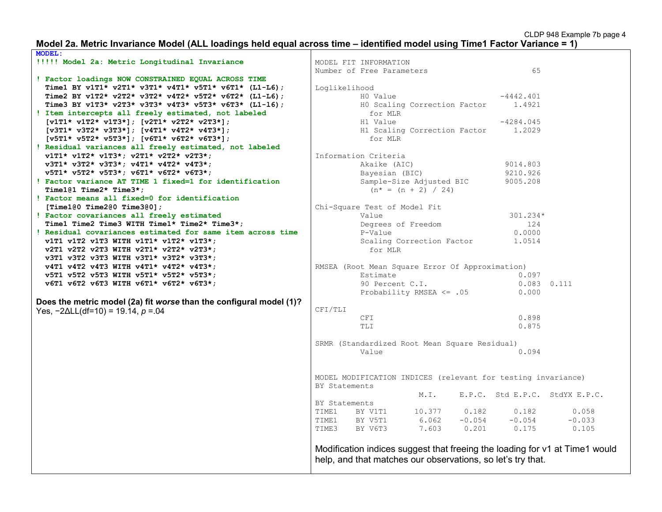#### **Model 2a. Metric Invariance Model (ALL loadings held equal across time – identified model using Time1 Factor Variance = 1)**

| <b>MODEL:</b>                                                       |                                                                             |
|---------------------------------------------------------------------|-----------------------------------------------------------------------------|
| !!!!! Model 2a: Metric Longitudinal Invariance                      | MODEL FIT INFORMATION                                                       |
|                                                                     | 65<br>Number of Free Parameters                                             |
| ! Factor loadings NOW CONSTRAINED EQUAL ACROSS TIME                 |                                                                             |
| Time1 BY v1T1* v2T1* v3T1* v4T1* v5T1* v6T1* (L1-L6);               | Loglikelihood                                                               |
| Time2 BY v1T2* v2T2* v3T2* v4T2* v5T2* v6T2* (L1-L6);               | $-4442.401$<br>HO Value                                                     |
| Time3 BY v1T3* v2T3* v3T3* v4T3* v5T3* v6T3* (L1-16);               | HO Scaling Correction Factor<br>1.4921                                      |
| ! Item intercepts all freely estimated, not labeled                 | for MLR                                                                     |
| $[v1T1* v1T2* v1T3*]; [v2T1* v2T2* v2T3*];$                         | $-4284.045$<br>H1 Value                                                     |
| $[v3T1* v3T2* v3T3*]; [v4T1* v4T2* v4T3*];$                         | H1 Scaling Correction Factor<br>1,2029                                      |
| $[v5T1* v5T2* v5T3*]; [v6T1* v6T2* v6T3*];$                         | for MLR                                                                     |
| ! Residual variances all freely estimated, not labeled              |                                                                             |
| $v1T1* v1T2* v1T3*; v2T1* v2T2* v2T3*;$                             | Information Criteria                                                        |
| v3T1* v3T2* v3T3*; v4T1* v4T2* v4T3*;                               | Akaike (AIC)<br>9014.803                                                    |
| v5T1* v5T2* v5T3*; v6T1* v6T2* v6T3*;                               | 9210.926                                                                    |
| ! Factor variance AT TIME 1 fixed=1 for identification              | Bayesian (BIC)                                                              |
|                                                                     | Sample-Size Adjusted BIC<br>9005.208                                        |
| Time1@1 Time2* Time3*;                                              | $(n* = (n + 2) / 24)$                                                       |
| ! Factor means all fixed=0 for identification                       |                                                                             |
| [Time1@0 Time2@0 Time3@0];                                          | Chi-Square Test of Model Fit                                                |
| ! Factor covariances all freely estimated                           | 301.234*<br>Value                                                           |
| Time1 Time2 Time3 WITH Time1* Time2* Time3*;                        | Degrees of Freedom<br>124                                                   |
| ! Residual covariances estimated for same item across time          | P-Value<br>0.0000                                                           |
| v1T1 v1T2 v1T3 WITH v1T1* v1T2* v1T3*;                              | Scaling Correction Factor<br>1.0514                                         |
| v2T1 v2T2 v2T3 WITH v2T1* v2T2* v2T3*;                              | for MLR                                                                     |
| v3T1 v3T2 v3T3 WITH v3T1* v3T2* v3T3*;                              |                                                                             |
| v4T1 v4T2 v4T3 WITH v4T1* v4T2* v4T3*;                              | RMSEA (Root Mean Square Error Of Approximation)                             |
| v5T1 v5T2 v5T3 WITH v5T1* v5T2* v5T3*;                              | 0.097<br>Estimate                                                           |
| v6T1 v6T2 v6T3 WITH v6T1* v6T2* v6T3*;                              | 90 Percent C.I.<br>$0.083$ $0.111$                                          |
|                                                                     | Probability RMSEA $\leq$ .05<br>0.000                                       |
| Does the metric model (2a) fit worse than the configural model (1)? |                                                                             |
| Yes, $-2\Delta L L(df=10) = 19.14$ , $p = 0.04$                     | CFI/TLI                                                                     |
|                                                                     | CFI<br>0.898                                                                |
|                                                                     | TLI<br>0.875                                                                |
|                                                                     |                                                                             |
|                                                                     | SRMR (Standardized Root Mean Square Residual)                               |
|                                                                     | Value<br>0.094                                                              |
|                                                                     |                                                                             |
|                                                                     |                                                                             |
|                                                                     | MODEL MODIFICATION INDICES (relevant for testing invariance)                |
|                                                                     | BY Statements                                                               |
|                                                                     | E.P.C. Std E.P.C. StdYX E.P.C.<br>M. I.                                     |
|                                                                     | BY Statements                                                               |
|                                                                     | 10.377<br>0.182<br>0.182<br>0.058<br>TIME1<br>BY V1T1                       |
|                                                                     | 6.062<br>$-0.054$<br>$-0.054$<br>$-0.033$<br>TIME1<br>BY V5T1               |
|                                                                     | 7.603<br>0.201<br>0.175<br>TIME3<br>BY V6T3<br>0.105                        |
|                                                                     |                                                                             |
|                                                                     |                                                                             |
|                                                                     | Modification indices suggest that freeing the loading for v1 at Time1 would |
|                                                                     | help, and that matches our observations, so let's try that.                 |
|                                                                     |                                                                             |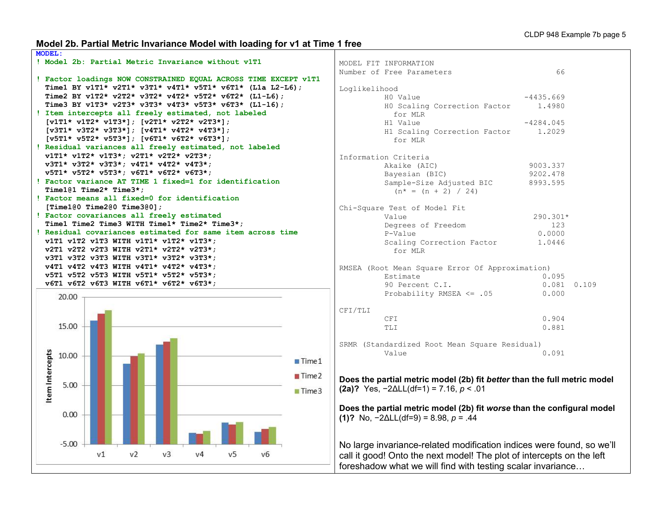# **Model 2b. Partial Metric Invariance Model with loading for v1 at Time 1 free**

| <b>MODEL:</b>                                                   |                                                                          |                 |
|-----------------------------------------------------------------|--------------------------------------------------------------------------|-----------------|
| ! Model 2b: Partial Metric Invariance without v1T1              | MODEL FIT INFORMATION                                                    |                 |
|                                                                 | Number of Free Parameters                                                | 66              |
| ! Factor loadings NOW CONSTRAINED EQUAL ACROSS TIME EXCEPT v1T1 |                                                                          |                 |
| Time1 BY v1T1* v2T1* v3T1* v4T1* v5T1* v6T1* (L1a L2-L6);       | Loglikelihood                                                            |                 |
| Time2 BY v1T2* v2T2* v3T2* v4T2* v5T2* v6T2* (L1-L6);           | HO Value                                                                 | $-4435.669$     |
| Time3 BY v1T3* v2T3* v3T3* v4T3* v5T3* v6T3* (L1-16);           | HO Scaling Correction Factor                                             | 1.4980          |
| ! Item intercepts all freely estimated, not labeled             | for MLR                                                                  |                 |
| $[v1T1* v1T2* v1T3*]; [v2T1* v2T2* v2T3*];$                     | H1 Value                                                                 | $-4284.045$     |
| $[v3T1* v3T2* v3T3*]; [v4T1* v4T2* v4T3*];$                     | H1 Scaling Correction Factor                                             | 1,2029          |
| $[v5T1* v5T2* v5T3*]; [v6T1* v6T2* v6T3*];$                     | for MLR                                                                  |                 |
| ! Residual variances all freely estimated, not labeled          |                                                                          |                 |
| $v1T1* v1T2* v1T3*; v2T1* v2T2* v2T3*;$                         | Information Criteria                                                     |                 |
| v3T1* v3T2* v3T3*; v4T1* v4T2* v4T3*;                           |                                                                          |                 |
| v5T1* v5T2* v5T3*; v6T1* v6T2* v6T3*;                           | Akaike (AIC)                                                             | 9003.337        |
| ! Factor variance AT TIME 1 fixed=1 for identification          | Bayesian (BIC)                                                           | 9202.478        |
|                                                                 | Sample-Size Adjusted BIC                                                 | 8993.595        |
| Time101 Time2* Time3*;                                          | $(n* = (n + 2) / 24)$                                                    |                 |
| ! Factor means all fixed=0 for identification                   |                                                                          |                 |
| [Time1@0 Time2@0 Time3@0];                                      | Chi-Square Test of Model Fit                                             |                 |
| ! Factor covariances all freely estimated                       | Value                                                                    | 290.301*        |
| Time1 Time2 Time3 WITH Time1* Time2* Time3*;                    | Degrees of Freedom                                                       | 123             |
| ! Residual covariances estimated for same item across time      | P-Value                                                                  | 0.0000          |
| v1T1 v1T2 v1T3 WITH v1T1* v1T2* v1T3*;                          | Scaling Correction Factor                                                | 1.0446          |
| v2T1 v2T2 v2T3 WITH v2T1* v2T2* v2T3*;                          | for MLR                                                                  |                 |
| v3T1 v3T2 v3T3 WITH v3T1* v3T2* v3T3*;                          |                                                                          |                 |
| v4T1 v4T2 v4T3 WITH v4T1* v4T2* v4T3*;                          | RMSEA (Root Mean Square Error Of Approximation)                          |                 |
| v5T1 v5T2 v5T3 WITH v5T1* v5T2* v5T3*;                          | Estimate                                                                 | 0.095           |
| v6T1 v6T2 v6T3 WITH v6T1* v6T2* v6T3*;                          | 90 Percent C.I.                                                          | $0.081$ $0.109$ |
| 20.00                                                           | Probability RMSEA $\leq$ .05                                             | 0.000           |
|                                                                 |                                                                          |                 |
|                                                                 | CFI/TLI                                                                  |                 |
|                                                                 | CFI                                                                      | 0.904           |
| 15.00                                                           | <b>TLI</b>                                                               | 0.881           |
|                                                                 |                                                                          |                 |
|                                                                 | SRMR (Standardized Root Mean Square Residual)                            |                 |
|                                                                 | Value                                                                    | 0.091           |
| 10.00<br>$\blacksquare$ Time 1                                  |                                                                          |                 |
|                                                                 |                                                                          |                 |
| Item Intercepts<br>Time2                                        | Does the partial metric model (2b) fit better than the full metric model |                 |
| 5.00                                                            |                                                                          |                 |
| Time3                                                           | (2a)? Yes, $-2\Delta L L(df=1) = 7.16$ , $p < .01$                       |                 |
|                                                                 |                                                                          |                 |
|                                                                 | Does the partial metric model (2b) fit worse than the configural model   |                 |
| 0.00                                                            | (1)? No, $-2\Delta L L(df=9) = 8.98$ , $p = .44$                         |                 |
|                                                                 |                                                                          |                 |
|                                                                 |                                                                          |                 |
| $-5.00$                                                         | No large invariance-related modification indices were found, so we'll    |                 |
| V <sub>1</sub><br>v <sub>2</sub><br>$v_3$<br>v5<br>v4<br>v6     |                                                                          |                 |
|                                                                 | call it good! Onto the next model! The plot of intercepts on the left    |                 |
|                                                                 | foreshadow what we will find with testing scalar invariance              |                 |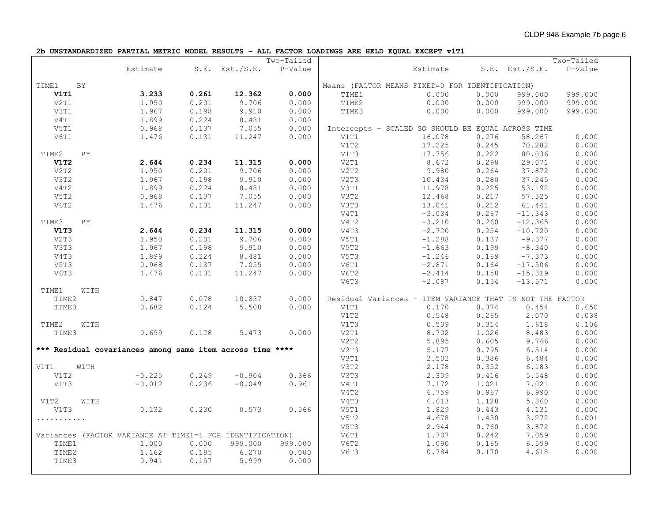**2b UNSTANDARDIZED PARTIAL METRIC MODEL RESULTS – ALL FACTOR LOADINGS ARE HELD EQUAL EXCEPT v1T1**

|       |      |                                                           |       |                     | Two-Tailed |       |                                                           |       |                     | Two-Tailed |
|-------|------|-----------------------------------------------------------|-------|---------------------|------------|-------|-----------------------------------------------------------|-------|---------------------|------------|
|       |      | Estimate                                                  |       | $S.E.$ Est./ $S.E.$ | P-Value    |       | Estimate                                                  |       | $S.E.$ Est./ $S.E.$ | P-Value    |
| TIME1 | BY   |                                                           |       |                     |            |       | Means (FACTOR MEANS FIXED=0 FOR IDENTIFICATION)           |       |                     |            |
| V1T1  |      | 3.233                                                     | 0.261 | 12.362              | 0.000      | TIME1 | 0.000                                                     | 0.000 | 999.000             | 999.000    |
| V2T1  |      | 1.950                                                     | 0.201 | 9.706               | 0.000      | TIME2 | 0.000                                                     | 0.000 | 999.000             | 999.000    |
| V3T1  |      | 1.967                                                     | 0.198 | 9.910               | 0.000      | TIME3 | 0.000                                                     | 0.000 | 999.000             | 999.000    |
| V4T1  |      | 1.899                                                     | 0.224 | 8.481               | 0.000      |       |                                                           |       |                     |            |
| V5T1  |      | 0.968                                                     | 0.137 | 7.055               | 0.000      |       | Intercepts - SCALED SO SHOULD BE EQUAL ACROSS TIME        |       |                     |            |
| V6T1  |      | 1.476                                                     | 0.131 | 11.247              | 0.000      | V1T1  | 16.078                                                    | 0.276 | 58.267              | 0.000      |
|       |      |                                                           |       |                     |            | V1T2  | 17.225                                                    | 0.245 | 70.282              | 0.000      |
| TIME2 | BY   |                                                           |       |                     |            | V1T3  | 17.756                                                    | 0.222 | 80.036              | 0.000      |
| V1T2  |      | 2.644                                                     | 0.234 | 11.315              | 0.000      | V2T1  | 8.672                                                     | 0.298 | 29.071              | 0.000      |
| V2T2  |      | 1.950                                                     | 0.201 | 9.706               | 0.000      | V2T2  | 9.980                                                     | 0.264 | 37.872              | 0.000      |
| V3T2  |      | 1.967                                                     | 0.198 | 9.910               | 0.000      | V2T3  | 10.434                                                    | 0.280 | 37.245              | 0.000      |
| V4T2  |      | 1.899                                                     | 0.224 | 8.481               | 0.000      | V3T1  | 11.978                                                    | 0.225 | 53.192              | 0.000      |
| V5T2  |      | 0.968                                                     | 0.137 | 7.055               | 0.000      | V3T2  | 12.468                                                    | 0.217 | 57.325              | 0.000      |
| V6T2  |      | 1.476                                                     | 0.131 | 11.247              | 0.000      | V3T3  | 13.041                                                    | 0.212 | 61.441              | 0.000      |
|       |      |                                                           |       |                     |            | V4T1  | $-3.034$                                                  | 0.267 | $-11.343$           | 0.000      |
| TIME3 | BY   |                                                           |       |                     |            | V4T2  | $-3.210$                                                  | 0.260 | $-12.365$           | 0.000      |
| V1T3  |      | 2.644                                                     | 0.234 | 11.315              | 0.000      | V4T3  | $-2.720$                                                  | 0.254 | $-10.720$           | 0.000      |
| V2T3  |      | 1.950                                                     | 0.201 | 9.706               | 0.000      | V5T1  | $-1.288$                                                  | 0.137 | $-9.377$            | 0.000      |
| V3T3  |      | 1.967                                                     | 0.198 | 9.910               | 0.000      | V5T2  | $-1.663$                                                  | 0.199 | $-8.340$            | 0.000      |
| V4T3  |      | 1.899                                                     | 0.224 | 8.481               | 0.000      | V5T3  | $-1.246$                                                  | 0.169 | $-7.373$            | 0.000      |
| V5T3  |      | 0.968                                                     | 0.137 | 7.055               | 0.000      | V6T1  | $-2.871$                                                  | 0.164 | $-17.506$           | 0.000      |
| V6T3  |      | 1.476                                                     | 0.131 | 11.247              | 0.000      | V6T2  | $-2.414$                                                  | 0.158 | $-15.319$           | 0.000      |
|       |      |                                                           |       |                     |            | V6T3  | $-2.087$                                                  | 0.154 | $-13.571$           | 0.000      |
| TIME1 | WITH |                                                           |       |                     |            |       |                                                           |       |                     |            |
| TIME2 |      | 0.847                                                     | 0.078 | 10.837              | 0.000      |       | Residual Variances - ITEM VARIANCE THAT IS NOT THE FACTOR |       |                     |            |
| TIME3 |      | 0.682                                                     | 0.124 | 5.508               | 0.000      | V1T1  | 0.170                                                     | 0.374 | 0.454               | 0.650      |
|       |      |                                                           |       |                     |            | V1T2  | 0.548                                                     | 0.265 | 2.070               | 0.038      |
| TIME2 | WITH |                                                           |       |                     |            | V1T3  | 0.509                                                     | 0.314 | 1.618               | 0.106      |
| TIME3 |      | 0.699                                                     | 0.128 | 5.473               | 0.000      | V2T1  | 8.702                                                     | 1.026 | 8.483               | 0.000      |
|       |      |                                                           |       |                     |            | V2T2  | 5.895                                                     | 0.605 | 9.746               | 0.000      |
|       |      | *** Residual covariances among same item across time **** |       |                     |            | V2T3  | 5.177                                                     | 0.795 | 6.514               | 0.000      |
|       |      |                                                           |       |                     |            | V3T1  | 2.502                                                     | 0.386 | 6.484               | 0.000      |
| V1T1  | WITH |                                                           |       |                     |            | V3T2  | 2.178                                                     | 0.352 | 6.183               | 0.000      |
| V1T2  |      | $-0.225$                                                  | 0.249 | $-0.904$            | 0.366      | V3T3  | 2.309                                                     | 0.416 | 5.548               | 0.000      |
| V1T3  |      | $-0.012$                                                  | 0.236 | $-0.049$            | 0.961      | V4T1  | 7.172                                                     | 1.021 | 7.021               | 0.000      |
|       |      |                                                           |       |                     |            | V4T2  | 6.759                                                     | 0.967 | 6.990               | 0.000      |
| V1T2  | WITH |                                                           |       |                     |            | V4T3  | 6.613                                                     | 1.128 | 5.860               | 0.000      |
| V1T3  |      | 0.132                                                     | 0.230 | 0.573               | 0.566      | V5T1  | 1.829                                                     | 0.443 | 4.131               | 0.000      |
| .     |      |                                                           |       |                     |            | V5T2  | 4.678                                                     | 1.430 | 3.272               | 0.001      |
|       |      |                                                           |       |                     |            | V5T3  | 2.944                                                     | 0.760 | 3.872               | 0.000      |
|       |      | Variances (FACTOR VARIANCE AT TIME1=1 FOR IDENTIFICATION) |       |                     |            | V6T1  | 1.707                                                     | 0.242 | 7.059               | 0.000      |
| TIME1 |      | 1,000                                                     | 0.000 | 999.000             | 999.000    | V6T2  | 1.090                                                     | 0.165 | 6.599               | 0.000      |
| TIME2 |      | 1.162                                                     | 0.185 | 6.270               | 0.000      | V6T3  | 0.784                                                     | 0.170 | 4.618               | 0.000      |
| TIME3 |      | 0.941                                                     | 0.157 | 5.999               | 0.000      |       |                                                           |       |                     |            |
|       |      |                                                           |       |                     |            |       |                                                           |       |                     |            |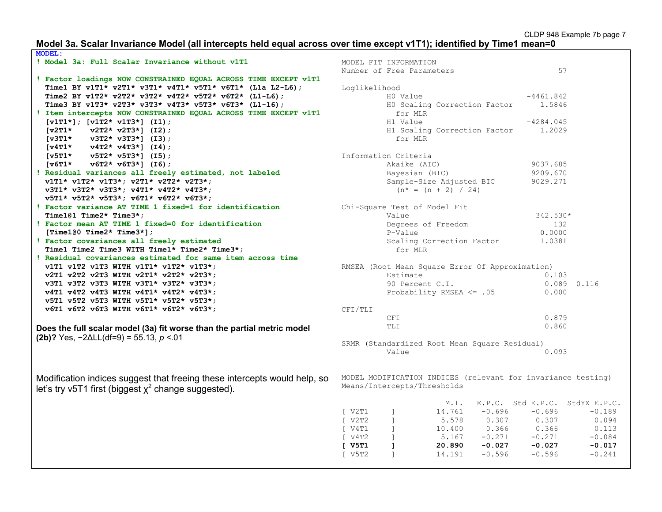#### **Model 3a. Scalar Invariance Model (all intercepts held equal across over time except v1T1); identified by Time1 mean=0**

| <b>MODEL:</b>                                                             |                    |                                                              |          |             |                                |
|---------------------------------------------------------------------------|--------------------|--------------------------------------------------------------|----------|-------------|--------------------------------|
| ! Model 3a: Full Scalar Invariance without v1T1                           |                    | MODEL FIT INFORMATION                                        |          |             |                                |
|                                                                           |                    | Number of Free Parameters                                    |          |             | 57                             |
| ! Factor loadings NOW CONSTRAINED EQUAL ACROSS TIME EXCEPT v1T1           |                    |                                                              |          |             |                                |
| Time1 BY v1T1* v2T1* v3T1* v4T1* v5T1* v6T1* (L1a L2-L6);                 | Loglikelihood      |                                                              |          |             |                                |
| Time2 BY v1T2* v2T2* v3T2* v4T2* v5T2* v6T2* (L1-L6);                     |                    | HO Value                                                     |          | $-4461.842$ |                                |
| Time3 BY v1T3* v2T3* v3T3* v4T3* v5T3* v6T3* (L1-16);                     |                    | HO Scaling Correction Factor                                 |          | 1.5846      |                                |
| ! Item intercepts NOW CONSTRAINED EQUAL ACROSS TIME EXCEPT v1T1           |                    | for MLR                                                      |          |             |                                |
| $[v1T1*]$ ; $[v1T2* v1T3*]$ (I1);                                         |                    | H1 Value                                                     |          | $-4284.045$ |                                |
| $v2T2* v2T3*$ ] (I2);<br>$\lceil \texttt{v2T1*} \rceil$                   |                    | H1 Scaling Correction Factor                                 |          | 1,2029      |                                |
| $[v3T1*$<br>$v3T2* v3T3*$ ] (I3);                                         |                    | for MLR                                                      |          |             |                                |
| $[v4T1* v4T2* v4T3*] (I4);$                                               |                    |                                                              |          |             |                                |
| $[v5T1*$<br>$v5T2* v5T3*$ ] (I5);                                         |                    | Information Criteria                                         |          |             |                                |
| $[v6T1*$ $v6T2*$ $v6T3*$ ] (16);                                          |                    | Akaike (AIC)                                                 |          | 9037.685    |                                |
| ! Residual variances all freely estimated, not labeled                    |                    | Bayesian (BIC)                                               |          | 9209.670    |                                |
| $v1T1* v1T2* v1T3*; v2T1* v2T2* v2T3*;$                                   |                    | Sample-Size Adjusted BIC                                     |          | 9029.271    |                                |
| v3T1* v3T2* v3T3*; v4T1* v4T2* v4T3*;                                     |                    | $(n^* = (n + 2) / 24)$                                       |          |             |                                |
| $v5T1* v5T2* v5T3*; v6T1* v6T2* v6T3*;$                                   |                    |                                                              |          |             |                                |
| ! Factor variance AT TIME 1 fixed=1 for identification                    |                    | Chi-Square Test of Model Fit                                 |          |             |                                |
| Time101 Time2* Time3*;                                                    |                    | Value                                                        |          | 342.530*    |                                |
| ! Factor mean AT TIME 1 fixed=0 for identification                        |                    | Degrees of Freedom                                           |          | 132         |                                |
| [Time1@0 Time2* Time3*];                                                  |                    | P-Value                                                      |          | 0.0000      |                                |
| ! Factor covariances all freely estimated                                 |                    | Scaling Correction Factor                                    |          | 1.0381      |                                |
| Time1 Time2 Time3 WITH Time1* Time2* Time3*;                              |                    | for MLR                                                      |          |             |                                |
| ! Residual covariances estimated for same item across time                |                    |                                                              |          |             |                                |
| v1T1 v1T2 v1T3 WITH v1T1* v1T2* v1T3*;                                    |                    | RMSEA (Root Mean Square Error Of Approximation)              |          |             |                                |
| v2T1 v2T2 v2T3 WITH v2T1* v2T2* v2T3*;                                    |                    | Estimate                                                     |          | 0.103       |                                |
| v3T1 v3T2 v3T3 WITH v3T1* v3T2* v3T3*;                                    |                    | 90 Percent C.I.                                              |          | 0.089       | 0.116                          |
| v4T1 v4T2 v4T3 WITH v4T1* v4T2* v4T3*;                                    |                    | Probability RMSEA $\leq$ .05                                 |          | 0.000       |                                |
| v5T1 v5T2 v5T3 WITH v5T1* v5T2* v5T3*;                                    |                    |                                                              |          |             |                                |
| v6T1 v6T2 v6T3 WITH v6T1* v6T2* v6T3*;                                    | CFI/TLI            |                                                              |          |             |                                |
|                                                                           |                    | CFI                                                          |          | 0.879       |                                |
|                                                                           |                    | TLI                                                          |          | 0.860       |                                |
| Does the full scalar model (3a) fit worse than the partial metric model   |                    |                                                              |          |             |                                |
| $(2b)$ ? Yes, $-2\Delta L L(df=9) = 55.13, p < 01$                        |                    | SRMR (Standardized Root Mean Square Residual)                |          |             |                                |
|                                                                           |                    | Value                                                        |          | 0.093       |                                |
|                                                                           |                    |                                                              |          |             |                                |
| Modification indices suggest that freeing these intercepts would help, so |                    | MODEL MODIFICATION INDICES (relevant for invariance testing) |          |             |                                |
| let's try v5T1 first (biggest $x^2$ change suggested).                    |                    | Means/Intercepts/Thresholds                                  |          |             |                                |
|                                                                           |                    | M.I.                                                         |          |             | E.P.C. Std E.P.C. StdYX E.P.C. |
|                                                                           | [ V2T1             | $\mathbf{1}$<br>14.761                                       | $-0.696$ | $-0.696$    | $-0.189$                       |
|                                                                           | V2T2<br>$\sqrt{2}$ | $\mathbf{1}$<br>5.578                                        | 0.307    | 0.307       | 0.094                          |
|                                                                           | [ V4T1             | $\mathbf{1}$<br>10.400                                       | 0.366    | 0.366       | 0.113                          |
|                                                                           | V4T2<br>$\sqrt{2}$ | $\mathbf{1}$<br>5.167                                        | $-0.271$ | $-0.271$    | $-0.084$                       |
|                                                                           | [ V5T1             | 1<br>20.890                                                  | $-0.027$ | $-0.027$    | $-0.017$                       |
|                                                                           | $\sqrt{5T2}$       | 14.191<br>1                                                  | $-0.596$ | $-0.596$    | $-0.241$                       |
|                                                                           |                    |                                                              |          |             |                                |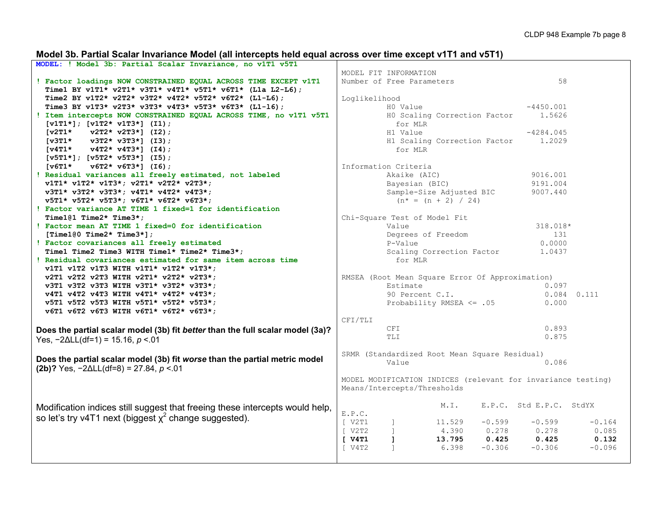# **Model 3b. Partial Scalar Invariance Model (all intercepts held equal across over time except v1T1 and v5T1)**

| MODEL: ! Model 3b: Partial Scalar Invariance, no v1T1 v5T1                     |                                                                            |
|--------------------------------------------------------------------------------|----------------------------------------------------------------------------|
|                                                                                | MODEL FIT INFORMATION                                                      |
| ! Factor loadings NOW CONSTRAINED EQUAL ACROSS TIME EXCEPT v1T1                | 58<br>Number of Free Parameters                                            |
| Time1 BY v1T1* v2T1* v3T1* v4T1* v5T1* v6T1* (L1a L2-L6);                      |                                                                            |
| Time2 BY v1T2* v2T2* v3T2* v4T2* v5T2* v6T2* (L1-L6);                          | Loglikelihood                                                              |
| Time3 BY v1T3* v2T3* v3T3* v4T3* v5T3* v6T3* (L1-16);                          | $-4450.001$<br>HO Value                                                    |
| ! Item intercepts NOW CONSTRAINED EQUAL ACROSS TIME, no v1T1 v5T1              | HO Scaling Correction Factor<br>1.5626                                     |
| $[v1T1*]$ ; $[v1T2* v1T3*]$ (I1);                                              | for MLR                                                                    |
| $\sqrt{2T1*}$<br>$v2T2* v2T3*$ ] (I2);                                         | $-4284.045$<br>H1 Value                                                    |
| $[v3T1*$<br>$v3T2* v3T3*$ ] (I3);                                              | H1 Scaling Correction Factor<br>1.2029                                     |
| $[v4T1* v4T2* v4T3*] (I4);$                                                    | for MLR                                                                    |
| $[v5T1*]; [v5T2* v5T3*]$ (15);                                                 |                                                                            |
| $\lceil \texttt{v6T1*} \rceil$<br>$v6T2* v6T3*$ ] (I6);                        | Information Criteria                                                       |
| ! Residual variances all freely estimated, not labeled                         | Akaike (AIC)<br>9016.001                                                   |
| $v1T1* v1T2* v1T3*; v2T1* v2T2* v2T3*;$                                        | Bayesian (BIC)<br>9191.004                                                 |
| v3T1* v3T2* v3T3*; v4T1* v4T2* v4T3*;                                          | 9007.440                                                                   |
| v5T1* v5T2* v5T3*; v6T1* v6T2* v6T3*;                                          | Sample-Size Adjusted BIC                                                   |
|                                                                                | $(n^* = (n + 2) / 24)$                                                     |
| ! Factor variance AT TIME 1 fixed=1 for identification                         |                                                                            |
| Time1@1 Time2* Time3*;                                                         | Chi-Square Test of Model Fit                                               |
| ! Factor mean AT TIME 1 fixed=0 for identification                             | Value<br>318.018*                                                          |
| [Time100 Time2* Time3*];                                                       | Degrees of Freedom<br>131                                                  |
| ! Factor covariances all freely estimated                                      | P-Value<br>0.0000                                                          |
| Time1 Time2 Time3 WITH Time1* Time2* Time3*;                                   | Scaling Correction Factor<br>1.0437                                        |
| ! Residual covariances estimated for same item across time                     | for MLR                                                                    |
| v1T1 v1T2 v1T3 WITH v1T1* v1T2* v1T3*;                                         |                                                                            |
| v2T1 v2T2 v2T3 WITH v2T1* v2T2* v2T3*;                                         | RMSEA (Root Mean Square Error Of Approximation)                            |
| v3T1 v3T2 v3T3 WITH v3T1* v3T2* v3T3*;                                         | Estimate<br>0.097                                                          |
| v4T1 v4T2 v4T3 WITH v4T1* v4T2* v4T3*;                                         | 90 Percent C.I.<br>$0.084$ $0.111$                                         |
| v5T1 v5T2 v5T3 WITH v5T1* v5T2* v5T3*;                                         | Probability RMSEA <= .05<br>0.000                                          |
| v6T1 v6T2 v6T3 WITH v6T1* v6T2* v6T3*;                                         |                                                                            |
|                                                                                | CFI/TLI                                                                    |
| Does the partial scalar model (3b) fit better than the full scalar model (3a)? | 0.893<br><b>CFI</b>                                                        |
| Yes, $-2\Delta L L(df=1) = 15.16$ , $p < 01$                                   | <b>TLI</b><br>0.875                                                        |
|                                                                                |                                                                            |
| Does the partial scalar model (3b) fit worse than the partial metric model     | SRMR (Standardized Root Mean Square Residual)                              |
| (2b)? Yes, $-2\Delta L L(df=8) = 27.84$ , $p < 01$                             | 0.086<br>Value                                                             |
|                                                                                |                                                                            |
|                                                                                | MODEL MODIFICATION INDICES (relevant for invariance testing)               |
|                                                                                | Means/Intercepts/Thresholds                                                |
|                                                                                |                                                                            |
| Modification indices still suggest that freeing these intercepts would help,   | M.I.<br>E.P.C. Std E.P.C. StdYX                                            |
| so let's try v4T1 next (biggest $x^2$ change suggested).                       | E.P.C.                                                                     |
|                                                                                | $\sqrt{2T1}$<br>$-0.599$<br>$-0.599$<br>$-0.164$<br>$\mathbf{1}$<br>11.529 |
|                                                                                | V2T2<br>$\mathbf{1}$<br>0.278<br>0.085<br>4.390<br>0.278                   |
|                                                                                | $[$ $V4T1$<br>$\mathbf{1}$<br>13.795<br>0.425<br>0.425<br>0.132            |
|                                                                                | $-0.306$<br>V4T2<br>6.398<br>$-0.306$<br>$-0.096$                          |
|                                                                                |                                                                            |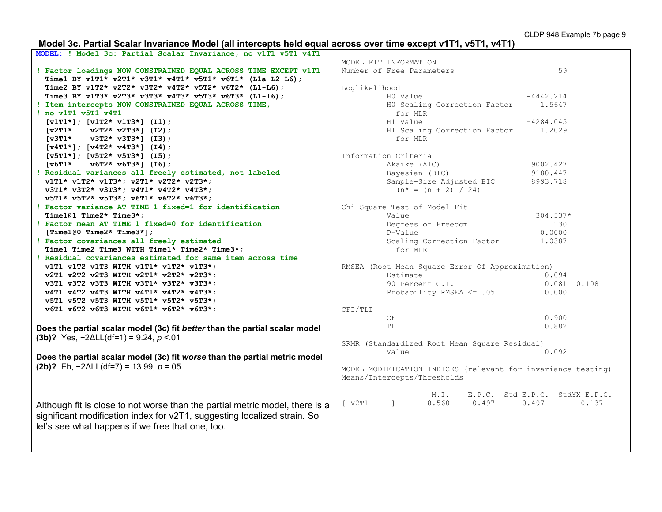# **Model 3c. Partial Scalar Invariance Model (all intercepts held equal across over time except v1T1, v5T1, v4T1)**

| MODEL: ! Model 3c: Partial Scalar Invariance, no v1T1 v5T1 v4T1              |                          |                   |         |
|------------------------------------------------------------------------------|--------------------------|-------------------|---------|
|                                                                              | MODEL FIT INFORMATION    |                   |         |
| ! Factor loadings NOW CONSTRAINED EQUAL ACROSS TIME EXCEPT v1T1              | Number of Free Parameter |                   |         |
| Time1 BY v1T1* v2T1* v3T1* v4T1* v5T1* v6T1* (L1a L2-L6);                    |                          |                   |         |
| Time2 BY v1T2* v2T2* v3T2* v4T2* v5T2* v6T2* (L1-L6);                        | Loglikelihood            |                   |         |
| Time3 BY v1T3* v2T3* v3T3* v4T3* v5T3* v6T3* (L1-16);                        |                          | HO Value          |         |
| ! Item intercepts NOW CONSTRAINED EQUAL ACROSS TIME,                         |                          | HO Scaling Com    |         |
| ! no v1T1 v5T1 v4T1                                                          |                          | for MLR           |         |
| $[v1T1*]$ ; $[v1T2* v1T3*]$ (I1);                                            |                          | H1 Value          |         |
| $[v2T1* v2T2* v2T3*]$ (I2);                                                  |                          | H1 Scaling Com    |         |
| $[v3T1*$ $v3T2*$ $v3T3*$ ] (I3);                                             |                          | for MLR           |         |
| $[v4T1*]$ ; $[v4T2* v4T3*]$ (14);                                            |                          |                   |         |
| $[v5T1*]; [v5T2* v5T3*]$ (I5);                                               | Information Criteria     |                   |         |
| $[\nabla 6T1*$<br>$v6T2* v6T3*$ ] (I6);                                      |                          | Akaike (AIC)      |         |
| ! Residual variances all freely estimated, not labeled                       |                          | Bayesian (BIC)    |         |
| v1T1* v1T2* v1T3*; v2T1* v2T2* v2T3*;                                        |                          | Sample-Size Ao    |         |
| v3T1* v3T2* v3T3*; v4T1* v4T2* v4T3*;                                        |                          | $(n^* = (n + 2))$ |         |
| v5T1* v5T2* v5T3*; v6T1* v6T2* v6T3*;                                        |                          |                   |         |
| ! Factor variance AT TIME 1 fixed=1 for identification                       | Chi-Square Test of Model |                   |         |
| Time1@1 Time2* Time3*;                                                       |                          | Value             |         |
| ! Factor mean AT TIME 1 fixed=0 for identification                           |                          | Degrees of Fre    |         |
| [Time100 Time2* Time3*];                                                     |                          | P-Value           |         |
| ! Factor covariances all freely estimated                                    |                          | Scaling Corred    |         |
| Time1 Time2 Time3 WITH Time1* Time2* Time3*;                                 |                          | for MLR           |         |
| ! Residual covariances estimated for same item across time                   |                          |                   |         |
| v1T1 v1T2 v1T3 WITH v1T1* v1T2* v1T3*;                                       | RMSEA (Root Mean Square  |                   |         |
| v2T1 v2T2 v2T3 WITH v2T1* v2T2* v2T3*;                                       |                          | Estimate          |         |
| v3T1 v3T2 v3T3 WITH v3T1* v3T2* v3T3*;                                       |                          | 90 Percent C.1    |         |
| v4T1 v4T2 v4T3 WITH v4T1* v4T2* v4T3*;                                       |                          | Probability RM    |         |
| v5T1 v5T2 v5T3 WITH v5T1* v5T2* v5T3*;                                       |                          |                   |         |
| v6T1 v6T2 v6T3 WITH v6T1* v6T2* v6T3*;                                       | CFI/TLI                  |                   |         |
|                                                                              |                          | CFI               |         |
| Does the partial scalar model (3c) fit better than the partial scalar model  |                          | TLI               |         |
| (3b)? Yes, $-2\Delta L L(df=1) = 9.24$ , $p < 01$                            |                          |                   |         |
|                                                                              | SRMR (Standardized Root  |                   |         |
|                                                                              |                          | Value             |         |
| Does the partial scalar model (3c) fit worse than the partial metric model   |                          |                   |         |
| (2b)? Eh, $-2\Delta L L(df=7) = 13.99$ , $p = 0.05$                          | MODEL MODIFICATION INDIO |                   |         |
|                                                                              | Means/Intercepts/Thresho |                   |         |
|                                                                              |                          |                   |         |
|                                                                              |                          |                   | $M$ . I |
| Although fit is close to not worse than the partial metric model, there is a | [ V2T1 ]                 |                   | 8.560   |
| significant modification index for v2T1, suggesting localized strain. So     |                          |                   |         |
|                                                                              |                          |                   |         |
| let's see what happens if we free that one, too.                             |                          |                   |         |
|                                                                              |                          |                   |         |
|                                                                              |                          |                   |         |

| MODEL FIT INFORMATION<br>Number of Free Parameters |                 |                              |                                                                   | 59              |  |
|----------------------------------------------------|-----------------|------------------------------|-------------------------------------------------------------------|-----------------|--|
|                                                    |                 |                              |                                                                   |                 |  |
| Loglikelihood                                      |                 |                              |                                                                   |                 |  |
|                                                    | H0 Value        |                              |                                                                   | $-4442.214$     |  |
|                                                    | for MLR         | HO Scaling Correction Factor |                                                                   | 1.5647          |  |
|                                                    | H1 Value        |                              |                                                                   | $-4284.045$     |  |
|                                                    | for MLR         | H1 Scaling Correction Factor |                                                                   | 1,2029          |  |
| Information Criteria                               |                 |                              |                                                                   |                 |  |
|                                                    | Akaike (AIC)    |                              |                                                                   | 9002.427        |  |
|                                                    | Bayesian (BIC)  |                              |                                                                   | 9180.447        |  |
|                                                    |                 | Sample-Size Adjusted BIC     |                                                                   | 8993.718        |  |
|                                                    |                 | $(n^* = (n + 2) / 24)$       |                                                                   |                 |  |
| Chi-Square Test of Model Fit                       |                 |                              |                                                                   |                 |  |
|                                                    | Value           |                              |                                                                   | 304.537*        |  |
|                                                    |                 | Degrees of Freedom           |                                                                   | 130             |  |
|                                                    | P-Value         |                              |                                                                   | 0.0000          |  |
|                                                    | for MLR         | Scaling Correction Factor    |                                                                   | 1.0387          |  |
|                                                    |                 |                              | RMSEA (Root Mean Square Error Of Approximation)                   |                 |  |
|                                                    | Estimate        |                              |                                                                   | 0.094           |  |
|                                                    | 90 Percent C.I. |                              |                                                                   | $0.081$ $0.108$ |  |
|                                                    |                 | Probability RMSEA $\leq$ .05 |                                                                   | 0.000           |  |
| CFI/TLI                                            |                 |                              |                                                                   |                 |  |
|                                                    | <b>CFI</b>      |                              |                                                                   | 0.900           |  |
|                                                    | TLI             |                              |                                                                   | 0.882           |  |
|                                                    |                 |                              | SRMR (Standardized Root Mean Square Residual)                     |                 |  |
|                                                    | Value           |                              |                                                                   | 0.092           |  |
| Means/Intercepts/Thresholds                        |                 |                              | MODEL MODIFICATION INDICES (relevant for invariance testing)      |                 |  |
|                                                    |                 |                              |                                                                   |                 |  |
| [ V2T1 ]                                           |                 | 8.560                        | M.I. E.P.C. Std E.P.C. StdYX E.P.C.<br>8.560 -0.497 -0.497 -0.137 |                 |  |
|                                                    |                 |                              |                                                                   |                 |  |
|                                                    |                 |                              |                                                                   |                 |  |
|                                                    |                 |                              |                                                                   |                 |  |
|                                                    |                 |                              |                                                                   |                 |  |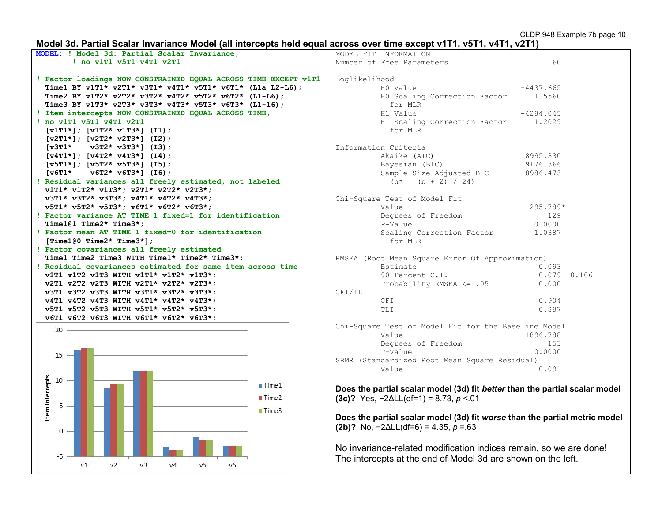# **Model 3d. Partial Scalar Invariance Model (all intercepts held equal across over time except v1T1, v5T1, v4T1, v2T1)**

| MODEL: ! Model 3d: Partial Scalar Invariance,                                                | MODEL FIT INFORMATION                                                       |  |  |  |  |
|----------------------------------------------------------------------------------------------|-----------------------------------------------------------------------------|--|--|--|--|
| ! no v1T1 v5T1 v4T1 v2T1                                                                     | 60<br>Number of Free Parameters                                             |  |  |  |  |
|                                                                                              |                                                                             |  |  |  |  |
| ! Factor loadings NOW CONSTRAINED EQUAL ACROSS TIME EXCEPT v1T1                              | Loglikelihood                                                               |  |  |  |  |
| Time1 BY v1T1* v2T1* v3T1* v4T1* v5T1* v6T1* (L1a L2-L6);                                    | HO Value<br>$-4437.665$                                                     |  |  |  |  |
| Time2 BY v1T2* v2T2* v3T2* v4T2* v5T2* v6T2* (L1-L6);                                        | HO Scaling Correction Factor<br>1.5560                                      |  |  |  |  |
| Time3 BY v1T3* v2T3* v3T3* v4T3* v5T3* v6T3* (L1-16);                                        | for MLR                                                                     |  |  |  |  |
| ! Item intercepts NOW CONSTRAINED EQUAL ACROSS TIME,                                         | H1 Value<br>$-4284.045$                                                     |  |  |  |  |
| ! no v1T1 v5T1 v4T1 v2T1                                                                     | H1 Scaling Correction Factor<br>1,2029                                      |  |  |  |  |
| $[v1T1*]$ ; $[v1T2* v1T3*]$ (I1);                                                            | for MLR                                                                     |  |  |  |  |
| $[v2T1*]$ ; $[v2T2* v2T3*]$ (I2);                                                            |                                                                             |  |  |  |  |
| $[v3T1*$<br>$v3T2* v3T3*$ ] (I3);                                                            | Information Criteria                                                        |  |  |  |  |
| $[v4T1*]; [v4T2* v4T3*] (I4);$                                                               | Akaike (AIC)<br>8995.330                                                    |  |  |  |  |
| $[v5T1*]$ ; $[v5T2* v5T3*]$ (15);                                                            | 9176.366<br>Bayesian (BIC)                                                  |  |  |  |  |
| $\lceil \texttt{v6T1*} \rceil$<br>$v6T2* v6T3*$ ] (I6);                                      | Sample-Size Adjusted BIC<br>8986.473                                        |  |  |  |  |
| ! Residual variances all freely estimated, not labeled                                       | $(n* = (n + 2) / 24)$                                                       |  |  |  |  |
| v1T1* v1T2* v1T3*; v2T1* v2T2* v2T3*;                                                        |                                                                             |  |  |  |  |
| v3T1* v3T2* v3T3*; v4T1* v4T2* v4T3*;                                                        | Chi-Square Test of Model Fit                                                |  |  |  |  |
| v5T1* v5T2* v5T3*; v6T1* v6T2* v6T3*;                                                        | 295.789*<br>Value                                                           |  |  |  |  |
| ! Factor variance AT TIME 1 fixed=1 for identification                                       | Degrees of Freedom<br>129                                                   |  |  |  |  |
| Time101 Time2* Time3*:                                                                       | P-Value<br>0.0000                                                           |  |  |  |  |
| ! Factor mean AT TIME 1 fixed=0 for identification                                           | Scaling Correction Factor<br>1.0387                                         |  |  |  |  |
| [Time100 Time2* Time3*];                                                                     | for MLR                                                                     |  |  |  |  |
| ! Factor covariances all freely estimated                                                    |                                                                             |  |  |  |  |
| Time1 Time2 Time3 WITH Time1* Time2* Time3*;                                                 | RMSEA (Root Mean Square Error Of Approximation)                             |  |  |  |  |
| ! Residual covariances estimated for same item across time                                   | Estimate<br>0.093                                                           |  |  |  |  |
| v1T1 v1T2 v1T3 WITH v1T1* v1T2* v1T3*;                                                       | 90 Percent C.I.<br>$0.079$ 0.106                                            |  |  |  |  |
| v2T1 v2T2 v2T3 WITH v2T1* v2T2* v2T3*;                                                       | Probability RMSEA <= .05<br>0.000                                           |  |  |  |  |
| v3T1 v3T2 v3T3 WITH v3T1* v3T2* v3T3*;                                                       | CFI/TLI                                                                     |  |  |  |  |
| v4T1 v4T2 v4T3 WITH v4T1* v4T2* v4T3*;                                                       | 0.904<br>CFI                                                                |  |  |  |  |
| v5T1 v5T2 v5T3 WITH v5T1* v5T2* v5T3*;                                                       | 0.887<br>TLI                                                                |  |  |  |  |
| v6T1 v6T2 v6T3 WITH v6T1* v6T2* v6T3*;                                                       |                                                                             |  |  |  |  |
|                                                                                              | Chi-Square Test of Model Fit for the Baseline Model                         |  |  |  |  |
| 20                                                                                           | Value<br>1896.788                                                           |  |  |  |  |
|                                                                                              | Degrees of Freedom<br>153                                                   |  |  |  |  |
|                                                                                              | P-Value<br>0.0000                                                           |  |  |  |  |
| 15                                                                                           | SRMR (Standardized Root Mean Square Residual)                               |  |  |  |  |
|                                                                                              | Value<br>0.091                                                              |  |  |  |  |
|                                                                                              |                                                                             |  |  |  |  |
| Item Intercepts<br>10<br>Time 1                                                              |                                                                             |  |  |  |  |
|                                                                                              | Does the partial scalar model (3d) fit better than the partial scalar model |  |  |  |  |
| Time2<br>5                                                                                   | (3c)? Yes, $-2\Delta L L(df=1) = 8.73$ , $p < 01$                           |  |  |  |  |
| Time3                                                                                        |                                                                             |  |  |  |  |
|                                                                                              | Does the partial scalar model (3d) fit worse than the partial metric model  |  |  |  |  |
| 0                                                                                            | (2b)? No, $-2\Delta L L(df=6) = 4.35$ , $p = 63$                            |  |  |  |  |
|                                                                                              |                                                                             |  |  |  |  |
|                                                                                              | No invariance-related modification indices remain, so we are done!          |  |  |  |  |
| $-5$                                                                                         |                                                                             |  |  |  |  |
| v <sub>2</sub><br>V <sub>1</sub><br>v <sub>3</sub><br>V <sub>4</sub><br>V <sub>5</sub><br>v6 | The intercepts at the end of Model 3d are shown on the left.                |  |  |  |  |
|                                                                                              |                                                                             |  |  |  |  |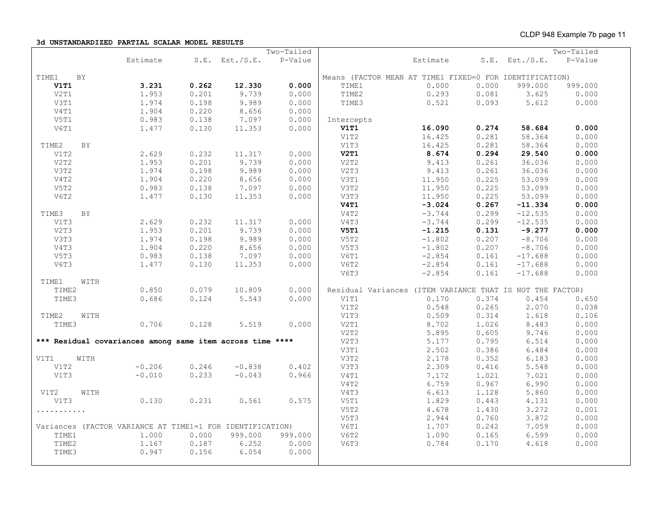**3d UNSTANDARDIZED PARTIAL SCALAR MODEL RESULTS**

|       |           |                                                           |       |                     | Two-Tailed |             |                                                           |       |                  | Two-Tailed |
|-------|-----------|-----------------------------------------------------------|-------|---------------------|------------|-------------|-----------------------------------------------------------|-------|------------------|------------|
|       |           | Estimate                                                  |       | $S.E.$ Est./ $S.E.$ | P-Value    |             | Estimate                                                  |       | $S.E.$ Est./S.E. | P-Value    |
| TIME1 | <b>BY</b> |                                                           |       |                     |            |             | Means (FACTOR MEAN AT TIME1 FIXED=0 FOR IDENTIFICATION)   |       |                  |            |
| V1T1  |           | 3.231                                                     | 0.262 | 12.330              | 0.000      | TIME1       | 0.000                                                     | 0.000 | 999.000          | 999.000    |
| V2T1  |           | 1.953                                                     | 0.201 | 9.739               | 0.000      | TIME2       | 0.293                                                     | 0.081 | 3.625            | 0.000      |
| V3T1  |           | 1.974                                                     | 0.198 | 9.989               | 0.000      | TIME3       | 0.521                                                     | 0.093 | 5.612            | 0.000      |
| V4T1  |           | 1.904                                                     | 0.220 | 8.656               | 0.000      |             |                                                           |       |                  |            |
| V5T1  |           | 0.983                                                     | 0.138 | 7.097               | 0.000      | Intercepts  |                                                           |       |                  |            |
| V6T1  |           | 1.477                                                     | 0.130 | 11.353              | 0.000      | <b>V1T1</b> | 16.090                                                    | 0.274 | 58.684           | 0.000      |
|       |           |                                                           |       |                     |            | V1T2        | 16.425                                                    | 0.281 | 58.364           | 0.000      |
| TIME2 | BY        |                                                           |       |                     |            | V1T3        | 16.425                                                    | 0.281 | 58.364           | 0.000      |
| V1T2  |           | 2.629                                                     | 0.232 | 11.317              | 0.000      | V2T1        | 8.674                                                     | 0.294 | 29.540           | 0.000      |
| V2T2  |           | 1.953                                                     | 0.201 | 9.739               | 0.000      | V2T2        | 9.413                                                     | 0.261 | 36.036           | 0.000      |
| V3T2  |           | 1.974                                                     | 0.198 | 9.989               | 0.000      | V2T3        | 9.413                                                     | 0.261 | 36.036           | 0.000      |
| V4T2  |           | 1.904                                                     | 0.220 | 8.656               | 0.000      | V3T1        | 11.950                                                    | 0.225 | 53.099           | 0.000      |
| V5T2  |           | 0.983                                                     | 0.138 | 7.097               | 0.000      | V3T2        | 11.950                                                    | 0.225 | 53.099           | 0.000      |
| V6T2  |           | 1.477                                                     | 0.130 | 11.353              | 0.000      | V3T3        | 11.950                                                    | 0.225 | 53.099           | 0.000      |
|       |           |                                                           |       |                     |            | V4T1        | $-3.024$                                                  | 0.267 | $-11.334$        | 0.000      |
| TIME3 | BY        |                                                           |       |                     |            | V4T2        | $-3.744$                                                  | 0.299 | $-12.535$        | 0.000      |
| V1T3  |           | 2.629                                                     | 0.232 | 11.317              | 0.000      | V4T3        | $-3.744$                                                  | 0.299 | $-12.535$        | 0.000      |
| V2T3  |           | 1.953                                                     | 0.201 | 9.739               | 0.000      | V5T1        | $-1.215$                                                  | 0.131 | $-9.277$         | 0.000      |
| V3T3  |           | 1.974                                                     | 0.198 | 9.989               | 0.000      | V5T2        | $-1.802$                                                  | 0.207 | $-8.706$         | 0.000      |
| V4T3  |           | 1.904                                                     | 0.220 | 8.656               | 0.000      | V5T3        | $-1.802$                                                  | 0.207 | $-8.706$         | 0.000      |
| V5T3  |           | 0.983                                                     | 0.138 | 7.097               | 0.000      | V6T1        | $-2.854$                                                  | 0.161 | $-17.688$        | 0.000      |
| V6T3  |           | 1.477                                                     | 0.130 | 11.353              | 0.000      | V6T2        | $-2.854$                                                  | 0.161 | $-17.688$        | 0.000      |
|       |           |                                                           |       |                     |            | V6T3        | $-2.854$                                                  | 0.161 | $-17.688$        | 0.000      |
| TIME1 | WITH      |                                                           |       |                     |            |             |                                                           |       |                  |            |
| TIME2 |           | 0.850                                                     | 0.079 | 10.809              | 0.000      |             | Residual Variances (ITEM VARIANCE THAT IS NOT THE FACTOR) |       |                  |            |
| TIME3 |           | 0.686                                                     | 0.124 | 5.543               | 0.000      | V1T1        | 0.170                                                     | 0.374 | 0.454            | 0.650      |
|       |           |                                                           |       |                     |            | V1T2        | 0.548                                                     | 0.265 | 2.070            | 0.038      |
| TIME2 | WITH      |                                                           |       |                     |            | V1T3        | 0.509                                                     | 0.314 | 1.618            | 0.106      |
| TIME3 |           | 0.706                                                     | 0.128 | 5.519               | 0.000      | V2T1        | 8.702                                                     | 1.026 | 8.483            | 0.000      |
|       |           |                                                           |       |                     |            | V2T2        | 5.895                                                     | 0.605 | 9.746            | 0.000      |
|       |           | *** Residual covariances among same item across time **** |       |                     |            | V2T3        | 5.177                                                     | 0.795 | 6.514            | 0.000      |
|       |           |                                                           |       |                     |            | V3T1        | 2.502                                                     | 0.386 | 6.484            | 0.000      |
| V1T1  | WITH      |                                                           |       |                     |            | V3T2        | 2.178                                                     | 0.352 | 6.183            | 0.000      |
| V1T2  |           | $-0.206$                                                  | 0.246 | $-0.838$            | 0.402      | V3T3        | 2.309                                                     | 0.416 | 5.548            | 0.000      |
| V1T3  |           | $-0.010$                                                  | 0.233 | $-0.043$            | 0.966      | V4T1        | 7.172                                                     | 1.021 | 7.021            | 0.000      |
|       |           |                                                           |       |                     |            | V4T2        | 6.759                                                     | 0.967 | 6.990            | 0.000      |
| V1T2  | WITH      |                                                           |       |                     |            | V4T3        | 6.613                                                     | 1.128 | 5.860            | 0.000      |
| V1T3  |           | 0.130                                                     | 0.231 | 0.561               | 0.575      | V5T1        | 1.829                                                     | 0.443 | 4.131            | 0.000      |
| .     |           |                                                           |       |                     |            | V5T2        | 4.678                                                     | 1.430 | 3.272            | 0.001      |
|       |           |                                                           |       |                     |            | V5T3        | 2.944                                                     | 0.760 | 3.872            | 0.000      |
|       |           | Variances (FACTOR VARIANCE AT TIME1=1 FOR IDENTIFICATION) |       |                     |            | V6T1        | 1.707                                                     | 0.242 | 7.059            | 0.000      |
| TIME1 |           | 1,000                                                     | 0.000 | 999.000             | 999.000    | V6T2        | 1.090                                                     | 0.165 | 6.599            | 0.000      |
| TIME2 |           | 1.167                                                     | 0.187 | 6.252               | 0.000      | V6T3        | 0.784                                                     | 0.170 | 4.618            | 0.000      |
| TIME3 |           | 0.947                                                     | 0.156 | 6.054               | 0.000      |             |                                                           |       |                  |            |
|       |           |                                                           |       |                     |            |             |                                                           |       |                  |            |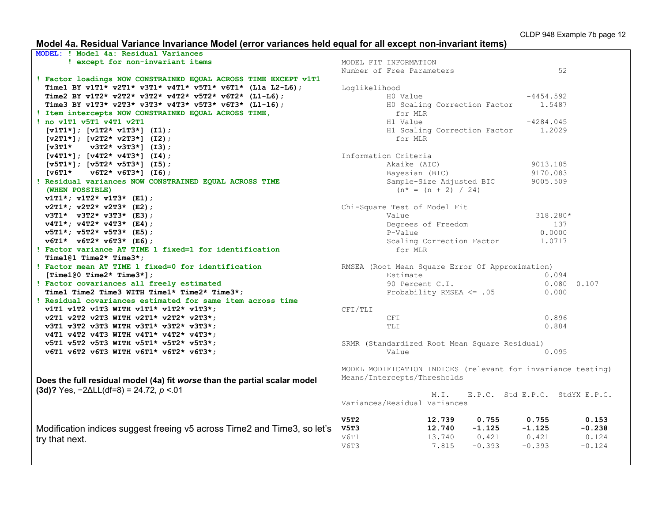# **Model 4a. Residual Variance Invariance Model (error variances held equal for all except non-invariant items)**

| MODEL: ! Model 4a: Residual Variances                                     |                                                              |                                |
|---------------------------------------------------------------------------|--------------------------------------------------------------|--------------------------------|
| ! except for non-invariant items                                          | MODEL FIT INFORMATION                                        |                                |
|                                                                           | Number of Free Parameters                                    | 52                             |
| ! Factor loadings NOW CONSTRAINED EQUAL ACROSS TIME EXCEPT v1T1           |                                                              |                                |
| Time1 BY v1T1* v2T1* v3T1* v4T1* v5T1* v6T1* (L1a L2-L6);                 | Loglikelihood                                                |                                |
| Time2 BY v1T2* v2T2* v3T2* v4T2* v5T2* v6T2* (L1-L6);                     | HO Value                                                     | $-4454.592$                    |
| Time3 BY v1T3* v2T3* v3T3* v4T3* v5T3* v6T3* (L1-16);                     | H0 Scaling Correction Factor 1.5487                          |                                |
| ! Item intercepts NOW CONSTRAINED EQUAL ACROSS TIME,                      | for MLR                                                      |                                |
| ! no v1T1 v5T1 v4T1 v2T1                                                  | H1 Value                                                     | $-4284.045$                    |
| $[v1T1*]$ ; $[v1T2* v1T3*]$ (I1);                                         | H1 Scaling Correction Factor                                 | 1.2029                         |
| $[v2T1*]$ ; $[v2T2* v2T3*]$ (I2);                                         | for MLR                                                      |                                |
| [v3T1*<br>$v3T2* v3T3*$ ] (I3);                                           |                                                              |                                |
| $[v4T1*]$ ; $[v4T2* v4T3*]$ (14);                                         | Information Criteria                                         |                                |
| $[v5T1*]$ ; $[v5T2* v5T3*]$ (15);                                         | Akaike (AIC)                                                 | 9013.185                       |
| $[v6T1* v6T2* v6T3*] (I6);$                                               | Bayesian (BIC)                                               | 9170.083                       |
| ! Residual variances NOW CONSTRAINED EQUAL ACROSS TIME                    | Sample-Size Adjusted BIC                                     | 9005.509                       |
| (WHEN POSSIBLE)                                                           | $(n^* = (n + 2) / 24)$                                       |                                |
| $v1T1*$ ; $v1T2*$ $v1T3*$ (E1);                                           |                                                              |                                |
| $v2T1*$ ; $v2T2* v2T3*$ (E2);                                             | Chi-Square Test of Model Fit                                 |                                |
| $v3T1* v3T2* v3T3* (E3);$                                                 | Value                                                        | 318.280*                       |
| $v4T1*$ ; $v4T2* v4T3*$ (E4);                                             | Degrees of Freedom                                           | 137                            |
| $v5T1*$ ; $v5T2*$ $v5T3*$ (E5);                                           | P-Value                                                      | 0.0000                         |
| $v6T1* v6T2* v6T3* (E6);$                                                 |                                                              |                                |
| ! Factor variance AT TIME 1 fixed=1 for identification                    | Scaling Correction Factor                                    | 1.0717                         |
|                                                                           | for MLR                                                      |                                |
| Time101 Time2* Time3*;                                                    |                                                              |                                |
| ! Factor mean AT TIME 1 fixed=0 for identification                        | RMSEA (Root Mean Square Error Of Approximation)              |                                |
|                                                                           |                                                              |                                |
| [Time1 $0$ Time2* Time3*];                                                | Estimate                                                     | 0.094                          |
| ! Factor covariances all freely estimated                                 | 90 Percent C.I.                                              | $0.080$ $0.107$                |
| Time1 Time2 Time3 WITH Time1* Time2* Time3*;                              | Probability RMSEA $\leq$ .05                                 | 0.000                          |
| ! Residual covariances estimated for same item across time                |                                                              |                                |
| v1T1 v1T2 v1T3 WITH v1T1* v1T2* v1T3*;                                    | CFI/TLI                                                      |                                |
| v2T1 v2T2 v2T3 WITH v2T1* v2T2* v2T3*;                                    | CFI                                                          | 0.896                          |
| v3T1 v3T2 v3T3 WITH v3T1* v3T2* v3T3*;                                    | TLI                                                          | 0.884                          |
| v4T1 v4T2 v4T3 WITH v4T1* v4T2* v4T3*;                                    |                                                              |                                |
| v5T1 v5T2 v5T3 WITH v5T1* v5T2* v5T3*;                                    | SRMR (Standardized Root Mean Square Residual)                |                                |
| v6T1 v6T2 v6T3 WITH v6T1* v6T2* v6T3*;                                    | Value                                                        | 0.095                          |
|                                                                           |                                                              |                                |
|                                                                           | MODEL MODIFICATION INDICES (relevant for invariance testing) |                                |
|                                                                           | Means/Intercepts/Thresholds                                  |                                |
| Does the full residual model (4a) fit worse than the partial scalar model |                                                              |                                |
| $(3d)$ ? Yes, $-2\Delta L L(df=8) = 24.72$ , $p < 01$                     | M.L.                                                         | E.P.C. Std E.P.C. StdYX E.P.C. |
|                                                                           | Variances/Residual Variances                                 |                                |
|                                                                           |                                                              |                                |
|                                                                           | V5T2<br>12.739<br>0.755                                      | 0.153<br>0.755                 |
| Modification indices suggest freeing v5 across Time2 and Time3, so let's  | $-1.125$<br>V5T3<br>12.740                                   | $-0.238$<br>$-1.125$           |
| try that next.                                                            | 13.740<br>$0.421$ $0.421$<br>V6T1                            | 0.124                          |
|                                                                           | V6T3<br>$-0.393$<br>7.815                                    | $-0.393$<br>$-0.124$           |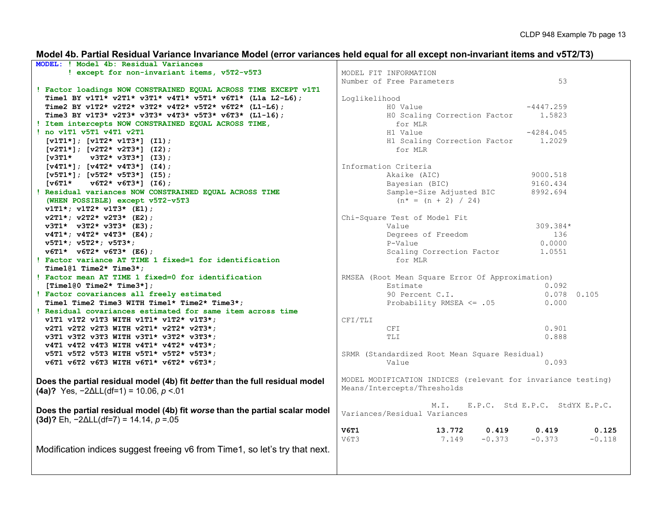# **Model 4b. Partial Residual Variance Invariance Model (error variances held equal for all except non-invariant items and v5T2/T3)**

| MODEL: ! Model 4b: Residual Variances                                        |                                                              |
|------------------------------------------------------------------------------|--------------------------------------------------------------|
| ! except for non-invariant items, v5T2-v5T3                                  | MODEL FIT INFORMATION                                        |
|                                                                              | 53<br>Number of Free Parameters                              |
| ! Factor loadings NOW CONSTRAINED EQUAL ACROSS TIME EXCEPT v1T1              |                                                              |
| Time1 BY v1T1* v2T1* v3T1* v4T1* v5T1* v6T1* (L1a L2-L6);                    | Loglikelihood                                                |
| Time2 BY v1T2* v2T2* v3T2* v4T2* v5T2* v6T2* (L1-L6);                        | HO Value<br>$-4447.259$                                      |
| Time3 BY v1T3* v2T3* v3T3* v4T3* v5T3* v6T3* (L1-16);                        | HO Scaling Correction Factor 1.5823                          |
| ! Item intercepts NOW CONSTRAINED EQUAL ACROSS TIME,                         | for MLR                                                      |
| ! no v1T1 v5T1 v4T1 v2T1                                                     | H1 Value<br>$-4284.045$                                      |
|                                                                              | 1.2029                                                       |
| $[v1T1*]; [v1T2* v1T3*] (I1);$                                               | H1 Scaling Correction Factor<br>for MLR                      |
| $[v2T1*]; [v2T2* v2T3*]$ (I2);                                               |                                                              |
| $\sqrt{3T1*}$<br>$v3T2* v3T3*$ ] (I3);                                       |                                                              |
| $[v4T1*]; [v4T2* v4T3*] (I4);$                                               | Information Criteria                                         |
| $[v5T1*]; [v5T2* v5T3*] (I5);$                                               | Akaike (AIC)<br>9000.518                                     |
| $\lceil \texttt{v6T1*} \rceil$<br>$\texttt{v6T2*} \texttt{v6T3*}$ ] (I6);    | Bayesian (BIC)<br>9160.434                                   |
| ! Residual variances NOW CONSTRAINED EQUAL ACROSS TIME                       | Sample-Size Adjusted BIC<br>8992.694                         |
| (WHEN POSSIBLE) except v5T2-v5T3                                             | $(n^* = (n + 2) / 24)$                                       |
| $v1T1*$ ; $v1T2*$ $v1T3*$ (E1);                                              |                                                              |
| $v2T1*$ ; $v2T2* v2T3*$ (E2);                                                | Chi-Square Test of Model Fit                                 |
| $v3T1* v3T2* v3T3* (E3);$                                                    | 309.384*<br>Value                                            |
| $v4T1*$ ; $v4T2* v4T3* (E4)$ ;                                               | Degrees of Freedom<br>136                                    |
| $v5T1*$ ; $v5T2*$ ; $v5T3*$ ;                                                | 0.0000<br>P-Value                                            |
| $v6T1* v6T2* v6T3* (E6);$                                                    | Scaling Correction Factor<br>1.0551                          |
| ! Factor variance AT TIME 1 fixed=1 for identification                       | for MLR                                                      |
| Time101 Time2* Time3*;                                                       |                                                              |
| ! Factor mean AT TIME 1 fixed=0 for identification                           | RMSEA (Root Mean Square Error Of Approximation)              |
| [Time100 Time2* Time3*];                                                     | Estimate<br>0.092                                            |
| ! Factor covariances all freely estimated                                    | 90 Percent C.I.<br>$0.078$ 0.105                             |
| Time1 Time2 Time3 WITH Time1* Time2* Time3*;                                 | Probability RMSEA <= .05<br>0.000                            |
| ! Residual covariances estimated for same item across time                   |                                                              |
| v1T1 v1T2 v1T3 WITH v1T1* v1T2* v1T3*;                                       | CFI/TLI                                                      |
| v2T1 v2T2 v2T3 WITH v2T1* v2T2* v2T3*;                                       | 0.901<br>CFI                                                 |
| v3T1 v3T2 v3T3 WITH v3T1* v3T2* v3T3*;                                       | 0.888<br>TLI                                                 |
| v4T1 v4T2 v4T3 WITH v4T1* v4T2* v4T3*;                                       |                                                              |
| v5T1 v5T2 v5T3 WITH v5T1* v5T2* v5T3*;                                       | SRMR (Standardized Root Mean Square Residual)                |
| v6T1 v6T2 v6T3 WITH v6T1* v6T2* v6T3*;                                       | 0.093<br>Value                                               |
|                                                                              |                                                              |
|                                                                              | MODEL MODIFICATION INDICES (relevant for invariance testing) |
| Does the partial residual model (4b) fit better than the full residual model | Means/Intercepts/Thresholds                                  |
| (4a)? Yes, $-2\Delta L L(df=1) = 10.06$ , $p < 01$                           |                                                              |
|                                                                              |                                                              |
| Does the partial residual model (4b) fit worse than the partial scalar model | E.P.C. Std E.P.C. StdYX E.P.C.<br>$M$ . I.                   |
| $(3d)$ ? Eh, $-2\Delta L L(df=7) = 14.14$ , $p = 0.05$                       | Variances/Residual Variances                                 |
|                                                                              |                                                              |
|                                                                              | V6T1<br>13.772<br>0.419<br>0.419<br>0.125                    |
|                                                                              | $-0.373$<br>$-0.373$<br>V6T3<br>7.149<br>$-0.118$            |
| Modification indices suggest freeing v6 from Time1, so let's try that next.  |                                                              |
|                                                                              |                                                              |
|                                                                              |                                                              |
|                                                                              |                                                              |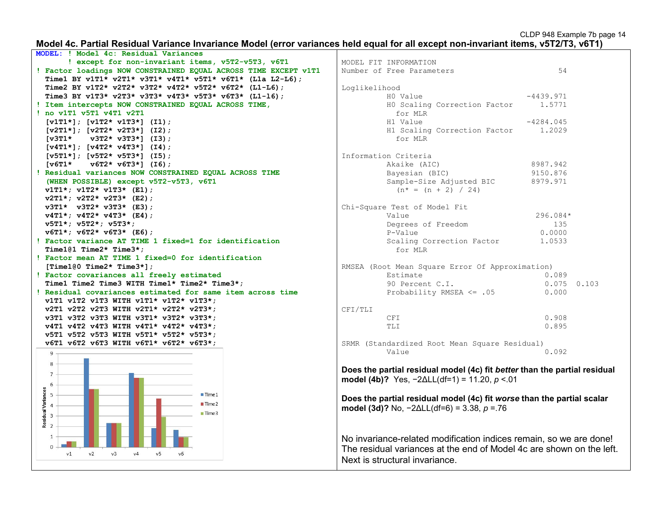#### **Model 4c. Partial Residual Variance Invariance Model (error variances held equal for all except non-invariant items, v5T2/T3, v6T1)**



|               | MODEL FIT INFORMATION<br>Number of Free Parameters                                                                                         | 54          |       |
|---------------|--------------------------------------------------------------------------------------------------------------------------------------------|-------------|-------|
| Loglikelihood |                                                                                                                                            |             |       |
|               | HO Value                                                                                                                                   | $-4439.971$ |       |
|               | HO Scaling Correction Factor<br>for MLR                                                                                                    | 1.5771      |       |
|               | H1 Value                                                                                                                                   | $-4284.045$ |       |
|               | H1 Scaling Correction Factor<br>for MLR                                                                                                    | 1.2029      |       |
|               | Information Criteria                                                                                                                       |             |       |
|               | Akaike (AIC)                                                                                                                               | 8987.942    |       |
|               | Bayesian (BIC)                                                                                                                             | 9150.876    |       |
|               | Sample-Size Adjusted BIC<br>$(n^* = (n + 2) / 24)$                                                                                         | 8979.971    |       |
|               | Chi-Square Test of Model Fit                                                                                                               |             |       |
|               | Value                                                                                                                                      | 296.084*    |       |
|               | Degrees of Freedom                                                                                                                         | 135         |       |
|               | P-Value                                                                                                                                    | 0.0000      |       |
|               | Scaling Correction Factor<br>for MLR                                                                                                       | 1.0533      |       |
|               | RMSEA (Root Mean Square Error Of Approximation)                                                                                            |             |       |
|               | Estimate                                                                                                                                   | 0.089       |       |
|               | 90 Percent C.I.                                                                                                                            | 0.075       | 0.103 |
|               | Probability RMSEA $\leq$ .05                                                                                                               | 0.000       |       |
| CFI/TLI       |                                                                                                                                            |             |       |
|               | CFI                                                                                                                                        | 0.908       |       |
|               | TLI                                                                                                                                        | 0.895       |       |
|               | SRMR (Standardized Root Mean Square Residual)<br>Value                                                                                     | 0.092       |       |
|               |                                                                                                                                            |             |       |
|               | Does the partial residual model (4c) fit better than the partial residual<br>model (4b)? Yes, $-2\Delta L L (df=1) = 11.20$ , $p < 01$     |             |       |
|               | Does the partial residual model (4c) fit worse than the partial scalar<br>model (3d)? No, $-2\Delta L L (df=6) = 3.38$ , $p = 76$          |             |       |
|               | No invariance-related modification indices remain, so we are done!<br>The residual variances at the end of Model 4c are shown on the left. |             |       |

Next is structural invariance.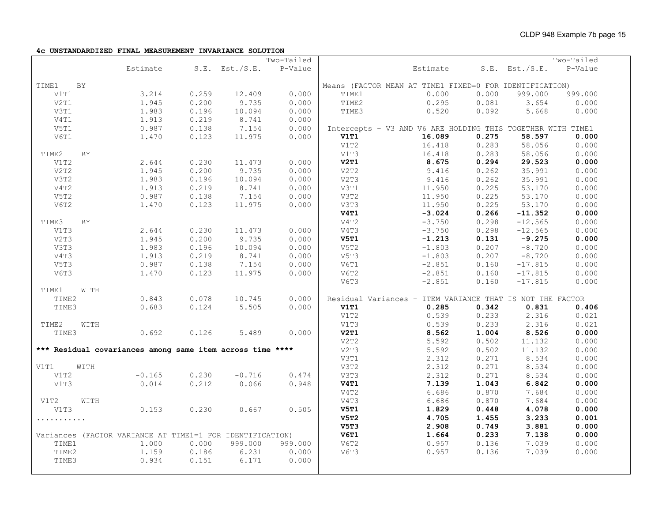**4c UNSTANDARDIZED FINAL MEASUREMENT INVARIANCE SOLUTION**

|       |           |          |       |                                                           | Two-Tailed |             |                                                             |       |                     | Two-Tailed |
|-------|-----------|----------|-------|-----------------------------------------------------------|------------|-------------|-------------------------------------------------------------|-------|---------------------|------------|
|       |           | Estimate |       | $S.E.$ Est./ $S.E.$                                       | P-Value    |             | Estimate                                                    |       | $S.E.$ Est./ $S.E.$ | P-Value    |
|       |           |          |       |                                                           |            |             |                                                             |       |                     |            |
| TIME1 | <b>BY</b> |          |       |                                                           |            |             | Means (FACTOR MEAN AT TIME1 FIXED=0 FOR IDENTIFICATION)     |       |                     |            |
| V1T1  |           | 3.214    | 0.259 | 12.409                                                    | 0.000      | TIME1       | 0.000                                                       | 0.000 | 999.000             | 999.000    |
| V2T1  |           | 1.945    | 0.200 | 9.735                                                     | 0.000      | TIME2       | 0.295                                                       | 0.081 | 3.654               | 0.000      |
| V3T1  |           | 1.983    | 0.196 | 10.094                                                    | 0.000      | TIME3       | 0.520                                                       | 0.092 | 5.668               | 0.000      |
| V4T1  |           | 1.913    | 0.219 | 8.741                                                     | 0.000      |             |                                                             |       |                     |            |
| V5T1  |           | 0.987    | 0.138 | 7.154                                                     | 0.000      |             | Intercepts - V3 AND V6 ARE HOLDING THIS TOGETHER WITH TIME1 |       |                     |            |
| V6T1  |           | 1.470    | 0.123 | 11.975                                                    | 0.000      | V1T1        | 16.089                                                      | 0.275 | 58.597              | 0.000      |
|       |           |          |       |                                                           |            | V1T2        | 16.418                                                      | 0.283 | 58.056              | 0.000      |
| TIME2 | BY        |          |       |                                                           |            | V1T3        | 16.418                                                      | 0.283 | 58.056              | 0.000      |
| V1T2  |           | 2.644    | 0.230 | 11.473                                                    | 0.000      | V2T1        | 8.675                                                       | 0.294 | 29.523              | 0.000      |
| V2T2  |           | 1.945    | 0.200 | 9.735                                                     | 0.000      | V2T2        | 9.416                                                       | 0.262 | 35.991              | 0.000      |
| V3T2  |           | 1.983    | 0.196 | 10.094                                                    | 0.000      | V2T3        | 9.416                                                       | 0.262 | 35.991              | 0.000      |
| V4T2  |           | 1.913    | 0.219 | 8.741                                                     | 0.000      | V3T1        | 11.950                                                      | 0.225 | 53.170              | 0.000      |
| V5T2  |           | 0.987    | 0.138 | 7.154                                                     | 0.000      | V3T2        | 11.950                                                      | 0.225 | 53.170              | 0.000      |
| V6T2  |           | 1.470    | 0.123 | 11.975                                                    | 0.000      | V3T3        | 11.950                                                      | 0.225 | 53.170              | 0.000      |
|       |           |          |       |                                                           |            | <b>V4T1</b> | $-3.024$                                                    | 0.266 | $-11.352$           | 0.000      |
| TIME3 | BY        |          |       |                                                           |            | V4T2        | $-3.750$                                                    | 0.298 | $-12.565$           | 0.000      |
| V1T3  |           | 2.644    | 0.230 | 11.473                                                    | 0.000      | V4T3        | $-3.750$                                                    | 0.298 | $-12.565$           | 0.000      |
| V2T3  |           | 1.945    | 0.200 | 9.735                                                     | 0.000      | V5T1        | $-1.213$                                                    | 0.131 | $-9.275$            | 0.000      |
| V3T3  |           | 1.983    | 0.196 | 10.094                                                    | 0.000      | V5T2        | $-1.803$                                                    | 0.207 | $-8.720$            | 0.000      |
| V4T3  |           | 1.913    | 0.219 | 8.741                                                     | 0.000      | V5T3        | $-1.803$                                                    | 0.207 | $-8.720$            | 0.000      |
| V5T3  |           | 0.987    | 0.138 | 7.154                                                     | 0.000      | V6T1        | $-2.851$                                                    | 0.160 | $-17.815$           | 0.000      |
| V6T3  |           | 1.470    | 0.123 | 11.975                                                    | 0.000      | V6T2        | $-2.851$                                                    | 0.160 | $-17.815$           | 0.000      |
|       |           |          |       |                                                           |            | V6T3        | $-2.851$                                                    | 0.160 | $-17.815$           | 0.000      |
| TIME1 | WITH      |          |       |                                                           |            |             |                                                             |       |                     |            |
| TIME2 |           | 0.843    | 0.078 | 10.745                                                    | 0.000      |             | Residual Variances - ITEM VARIANCE THAT IS NOT THE FACTOR   |       |                     |            |
| TIME3 |           | 0.683    | 0.124 | 5.505                                                     | 0.000      | <b>V1T1</b> | 0.285                                                       | 0.342 | 0.831               | 0.406      |
|       |           |          |       |                                                           |            | V1T2        | 0.539                                                       | 0.233 | 2.316               | 0.021      |
| TIME2 | WITH      |          |       |                                                           |            | V1T3        | 0.539                                                       | 0.233 | 2.316               | 0.021      |
| TIME3 |           | 0.692    | 0.126 | 5.489                                                     | 0.000      | V2T1        | 8.562                                                       | 1.004 | 8.526               | 0.000      |
|       |           |          |       |                                                           |            | V2T2        | 5.592                                                       | 0.502 | 11.132              | 0.000      |
|       |           |          |       | *** Residual covariances among same item across time **** |            | V2T3        | 5.592                                                       | 0.502 | 11.132              | 0.000      |
|       |           |          |       |                                                           |            | V3T1        | 2.312                                                       | 0.271 | 8.534               | 0.000      |
| V1T1  | WITH      |          |       |                                                           |            | V3T2        | 2.312                                                       | 0.271 | 8.534               | 0.000      |
| V1T2  |           | $-0.165$ | 0.230 | $-0.716$                                                  | 0.474      | V3T3        | 2.312                                                       | 0.271 | 8.534               | 0.000      |
| V1T3  |           | 0.014    | 0.212 | 0.066                                                     | 0.948      | V4T1        | 7.139                                                       | 1.043 | 6.842               | 0.000      |
|       |           |          |       |                                                           |            | V4T2        | 6.686                                                       | 0.870 | 7.684               | 0.000      |
| V1T2  | WITH      |          |       |                                                           |            | V4T3        | 6.686                                                       | 0.870 | 7.684               | 0.000      |
| V1T3  |           | 0.153    | 0.230 | 0.667                                                     | 0.505      | <b>V5T1</b> | 1.829                                                       | 0.448 | 4.078               | 0.000      |
| .     |           |          |       |                                                           |            | V5T2        | 4.705                                                       | 1.455 | 3.233               | 0.001      |
|       |           |          |       |                                                           |            | <b>V5T3</b> | 2.908                                                       | 0.749 | 3.881               | 0.000      |
|       |           |          |       | Variances (FACTOR VARIANCE AT TIME1=1 FOR IDENTIFICATION) |            | V6T1        | 1.664                                                       | 0.233 | 7.138               | 0.000      |
| TIME1 |           | 1.000    | 0.000 | 999.000                                                   | 999.000    | V6T2        | 0.957                                                       | 0.136 | 7.039               | 0.000      |
| TIME2 |           | 1.159    | 0.186 | 6.231                                                     | 0.000      | <b>V6T3</b> | 0.957                                                       | 0.136 | 7.039               | 0.000      |
| TIME3 |           | 0.934    | 0.151 | 6.171                                                     | 0.000      |             |                                                             |       |                     |            |
|       |           |          |       |                                                           |            |             |                                                             |       |                     |            |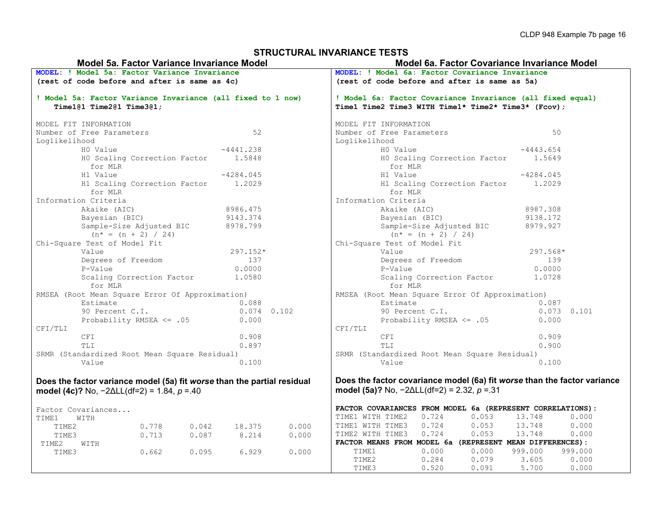### **STRUCTURAL INVARIANCE TESTS**

| Model 5a. Factor Variance Invariance Model                                              |                                                                                                                                   |       |       |               |                                                                                                                   | Model 6a. Factor Covariance Invariance Model    |                                                        |                                                                          |             |                 |
|-----------------------------------------------------------------------------------------|-----------------------------------------------------------------------------------------------------------------------------------|-------|-------|---------------|-------------------------------------------------------------------------------------------------------------------|-------------------------------------------------|--------------------------------------------------------|--------------------------------------------------------------------------|-------------|-----------------|
| MODEL: ! Model 5a: Factor Variance Invariance                                           |                                                                                                                                   |       |       |               |                                                                                                                   | MODEL: ! Model 6a: Factor Covariance Invariance |                                                        |                                                                          |             |                 |
|                                                                                         | (rest of code before and after is same as 4c)                                                                                     |       |       |               |                                                                                                                   | (rest of code before and after is same as 5a)   |                                                        |                                                                          |             |                 |
| ! Model 5a: Factor Variance Invariance (all fixed to 1 now)<br>Time1@1 Time2@1 Time3@1; |                                                                                                                                   |       |       |               | ! Model 6a: Factor Covariance Invariance (all fixed equal)<br>Time1 Time2 Time3 WITH Time1* Time2* Time3* (Fcov); |                                                 |                                                        |                                                                          |             |                 |
|                                                                                         | MODEL FIT INFORMATION                                                                                                             |       |       |               |                                                                                                                   |                                                 | MODEL FIT INFORMATION                                  |                                                                          |             |                 |
|                                                                                         | Number of Free Parameters                                                                                                         |       |       | 52            |                                                                                                                   |                                                 | Number of Free Parameters                              |                                                                          | 50          |                 |
| Loglikelihood                                                                           |                                                                                                                                   |       |       |               |                                                                                                                   | Loglikelihood                                   |                                                        |                                                                          |             |                 |
|                                                                                         | HO Value                                                                                                                          |       |       | $-4441.238$   |                                                                                                                   |                                                 | HO Value                                               |                                                                          | $-4443.654$ |                 |
|                                                                                         | HO Scaling Correction Factor                                                                                                      |       |       | 1.5848        |                                                                                                                   |                                                 |                                                        | HO Scaling Correction Factor                                             | 1.5649      |                 |
|                                                                                         | for MLR                                                                                                                           |       |       |               |                                                                                                                   |                                                 | for MLR                                                |                                                                          |             |                 |
|                                                                                         | H1 Value                                                                                                                          |       |       | $-4284.045$   |                                                                                                                   |                                                 | H1 Value                                               |                                                                          | $-4284.045$ |                 |
|                                                                                         | H1 Scaling Correction Factor                                                                                                      |       |       | 1.2029        |                                                                                                                   |                                                 |                                                        | H1 Scaling Correction Factor                                             | 1,2029      |                 |
|                                                                                         | for MLR                                                                                                                           |       |       |               |                                                                                                                   |                                                 | for MLR                                                |                                                                          |             |                 |
|                                                                                         | Information Criteria                                                                                                              |       |       |               |                                                                                                                   |                                                 | Information Criteria                                   |                                                                          |             |                 |
|                                                                                         | Akaike (AIC)                                                                                                                      |       |       | 8986.475      |                                                                                                                   |                                                 | Akaike (AIC)                                           |                                                                          | 8987.308    |                 |
|                                                                                         | Bayesian (BIC)                                                                                                                    |       |       | 9143.374      |                                                                                                                   |                                                 | Bayesian (BIC)                                         |                                                                          | 9138.172    |                 |
|                                                                                         | Sample-Size Adjusted BIC                                                                                                          |       |       | 8978.799      |                                                                                                                   |                                                 | Sample-Size Adjusted BIC                               |                                                                          | 8979.927    |                 |
|                                                                                         | $(n^* = (n + 2) / 24)$                                                                                                            |       |       |               |                                                                                                                   |                                                 | $(n* = (n + 2) / 24)$                                  |                                                                          |             |                 |
|                                                                                         | Chi-Square Test of Model Fit                                                                                                      |       |       |               |                                                                                                                   |                                                 | Chi-Square Test of Model Fit                           |                                                                          |             |                 |
|                                                                                         | Value                                                                                                                             |       |       | 297.152*      |                                                                                                                   |                                                 | Value                                                  |                                                                          | 297.568*    |                 |
|                                                                                         | Degrees of Freedom                                                                                                                |       |       | 137           |                                                                                                                   |                                                 | Degrees of Freedom                                     |                                                                          | 139         |                 |
|                                                                                         | P-Value                                                                                                                           |       |       | 0.0000        |                                                                                                                   |                                                 | P-Value                                                |                                                                          | 0.0000      |                 |
|                                                                                         | Scaling Correction Factor                                                                                                         |       |       | 1,0580        |                                                                                                                   |                                                 |                                                        | Scaling Correction Factor                                                | 1.0728      |                 |
|                                                                                         | for MLR                                                                                                                           |       |       |               |                                                                                                                   |                                                 | for MLR                                                |                                                                          |             |                 |
|                                                                                         | RMSEA (Root Mean Square Error Of Approximation)                                                                                   |       |       |               |                                                                                                                   |                                                 |                                                        | RMSEA (Root Mean Square Error Of Approximation)                          |             |                 |
|                                                                                         | Estimate                                                                                                                          |       |       | 0.088         |                                                                                                                   |                                                 | Estimate                                               |                                                                          | 0.087       |                 |
|                                                                                         | 90 Percent C.I.                                                                                                                   |       |       | $0.074$ 0.102 |                                                                                                                   |                                                 | 90 Percent C.I.                                        |                                                                          |             | $0.073$ $0.101$ |
|                                                                                         | Probability RMSEA $\leq$ .05                                                                                                      |       |       | 0.000         |                                                                                                                   |                                                 | Probability RMSEA $\leq$ .05                           |                                                                          | 0.000       |                 |
| CFI/TLI                                                                                 |                                                                                                                                   |       |       |               |                                                                                                                   | CFI/TLI                                         |                                                        |                                                                          |             |                 |
|                                                                                         | CFI                                                                                                                               |       |       | 0.908         |                                                                                                                   |                                                 | CFI                                                    |                                                                          | 0.909       |                 |
|                                                                                         | TLI                                                                                                                               |       |       | 0.897         |                                                                                                                   |                                                 | TLI                                                    |                                                                          | 0.900       |                 |
|                                                                                         | SRMR (Standardized Root Mean Square Residual)                                                                                     |       |       |               |                                                                                                                   |                                                 |                                                        | SRMR (Standardized Root Mean Square Residual)                            |             |                 |
|                                                                                         | Value                                                                                                                             |       |       | 0.100         |                                                                                                                   |                                                 | Value                                                  |                                                                          | 0.100       |                 |
|                                                                                         | Does the factor variance model (5a) fit worse than the partial residual<br>model (4c)? No, $-2\Delta L L(df=2) = 1.84$ , $p = 40$ |       |       |               |                                                                                                                   |                                                 | model (5a)? No, $-2\Delta L L(df=2) = 2.32$ , $p = 31$ | Does the factor covariance model (6a) fit worse than the factor variance |             |                 |
|                                                                                         | Factor Covariances                                                                                                                |       |       |               |                                                                                                                   |                                                 |                                                        | FACTOR COVARIANCES FROM MODEL 6a (REPRESENT CORRELATIONS):               |             |                 |
| TIME1                                                                                   | WITH                                                                                                                              |       |       |               |                                                                                                                   |                                                 | TIME1 WITH TIME2<br>0.724                              | 0.053                                                                    | 13.748      | 0.000           |
| TIME2                                                                                   |                                                                                                                                   | 0.778 | 0.042 | 18.375        | 0.000                                                                                                             |                                                 | 0.724<br>TIME1 WITH TIME3                              | 0.053                                                                    | 13.748      | 0.000           |
| TIME3                                                                                   |                                                                                                                                   | 0.713 | 0.087 | 8.214         | 0.000                                                                                                             | TIME2 WITH TIME3                                | 0.724                                                  | 0.053                                                                    | 13.748      | 0.000           |
| TIME2                                                                                   | WITH                                                                                                                              |       |       |               |                                                                                                                   |                                                 |                                                        | FACTOR MEANS FROM MODEL 6a (REPRESENT MEAN DIFFERENCES):                 |             |                 |
|                                                                                         |                                                                                                                                   | 0.662 | 0.095 | 6.929         | 0.000                                                                                                             | TIME1                                           | 0.000                                                  | 0.000                                                                    | 999.000     | 999.000         |
|                                                                                         |                                                                                                                                   |       |       |               |                                                                                                                   |                                                 |                                                        |                                                                          |             |                 |
| TIME3                                                                                   |                                                                                                                                   |       |       |               |                                                                                                                   | TIME2                                           | 0.284                                                  | 0.079                                                                    | 3.605       | 0.000           |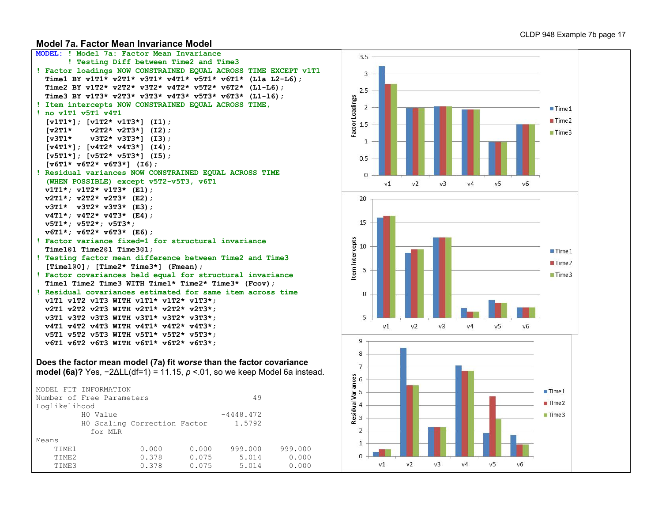#### **Model 7a. Factor Mean Invariance Model**

```
MODEL: ! Model 7a: Factor Mean Invariance 
        ! Testing Diff between Time2 and Time3 
! Factor loadings NOW CONSTRAINED EQUAL ACROSS TIME EXCEPT v1T1
  Time1 BY v1T1* v2T1* v3T1* v4T1* v5T1* v6T1* (L1a L2-L6);
  Time2 BY v1T2* v2T2* v3T2* v4T2* v5T2* v6T2* (L1-L6);
  Time3 BY v1T3* v2T3* v3T3* v4T3* v5T3* v6T3* (L1-l6);
! Item intercepts NOW CONSTRAINED EQUAL ACROSS TIME, 
! no v1T1 v5T1 v4T1
  [v1T1*]; [v1T2* v1T3*] (I1);<br>[v2T1* v2T2* v2T3*] (I2);
   [v2T1* v2T2* v2T3*] (I2);
            [v3T1* v3T2* v3T3*] (I3); 
   [v4T1*]; [v4T2* v4T3*] (I4);
   [v5T1*]; [v5T2* v5T3*] (I5); 
   [v6T1* v6T2* v6T3*] (I6);
! Residual variances NOW CONSTRAINED EQUAL ACROSS TIME 
   (WHEN POSSIBLE) except v5T2-v5T3, v6T1
  v1T1*; v1T2* v1T3* (E1);
  v2T1*; v2T2* v2T3* (E2);
  v3T1* v3T2* v3T3* (E3);
  v4T1*; v4T2* v4T3* (E4);
  v5T1*; v5T2*; v5T3*;
  v6T1*; v6T2* v6T3* (E6);
! Factor variance fixed=1 for structural invariance
  Time1@1 Time2@1 Time3@1; 
! Testing factor mean difference between Time2 and Time3
   [Time1@0]; [Time2* Time3*] (Fmean);
! Factor covariances held equal for structural invariance 
  Time1 Time2 Time3 WITH Time1* Time2* Time3* (Fcov); 
! Residual covariances estimated for same item across time
  v1T1 v1T2 v1T3 WITH v1T1* v1T2* v1T3*;
  v2T1 v2T2 v2T3 WITH v2T1* v2T2* v2T3*;
  v3T1 v3T2 v3T3 WITH v3T1* v3T2* v3T3*; 
  v4T1 v4T2 v4T3 WITH v4T1* v4T2* v4T3*; 
  v5T1 v5T2 v5T3 WITH v5T1* v5T2* v5T3*; 
  v6T1 v6T2 v6T3 WITH v6T1* v6T2* v6T3*; 
Does the factor mean model (7a) fit worse than the factor covariance 
model (6a)? Yes, −2ΔLL(df=1) = 11.15, p <.01, so we keep Model 6a instead.
MODEL FIT INFORMATION
Number of Free Parameters 49
Loglikelihood
         HO Value -4448.472<br>HO Scaling Correction Factor 1.5792
          H0 Scaling Correction Factor
             for MLR
Means<br>TIME1
 TIME1 0.000 0.000 999.000 999.000
 TIME2 0.378 0.075 5.014 0.000
 TIME3 0.378 0.075 5.014 0.000
```
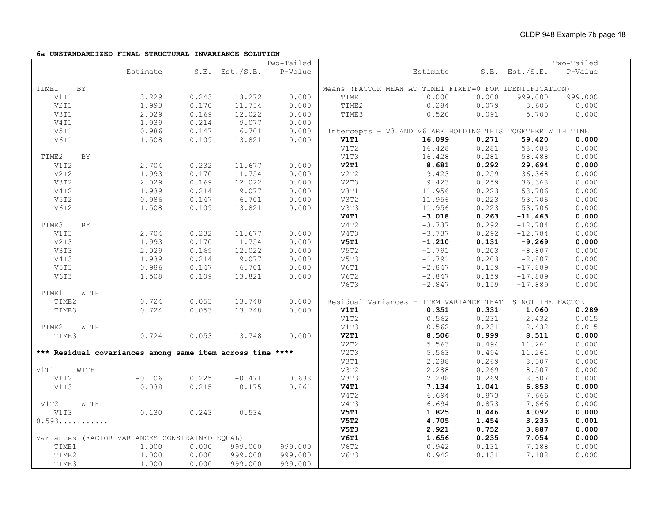#### **6a UNSTANDARDIZED FINAL STRUCTURAL INVARIANCE SOLUTION**

| Two-Tailed                                                                                              | Two-Tailed |
|---------------------------------------------------------------------------------------------------------|------------|
| P-Value<br>Estimate<br>Estimate<br>$S.E.$ Est./S.E.<br>$S.E.$ Est./ $S.E.$                              | P-Value    |
| TIME1<br><b>BY</b><br>Means (FACTOR MEAN AT TIME1 FIXED=0 FOR IDENTIFICATION)                           |            |
| 3.229<br>0.243<br>13.272<br>0.000<br>V1T1<br>0.000<br>TIME1<br>0.000<br>999.000                         | 999.000    |
| 0.000<br>0.079<br>V2T1<br>1.993<br>0.170<br>11.754<br>TIME2<br>0.284<br>3.605                           | 0.000      |
| 0.169<br>V3T1<br>2.029<br>12.022<br>0.000<br>TIME3<br>0.520<br>0.091<br>5.700                           | 0.000      |
| V4T1<br>1.939<br>0.214<br>9.077<br>0.000                                                                |            |
| V5T1<br>0.986<br>0.147<br>6.701<br>0.000<br>Intercepts - V3 AND V6 ARE HOLDING THIS TOGETHER WITH TIME1 |            |
| 0.109<br>16.099<br>0.271<br>59.420<br>V6T1<br>1.508<br>13.821<br>0.000<br>V1T1                          | 0.000      |
| 0.281<br>16.428<br>58.488<br>V1T2                                                                       | 0.000      |
| V1T3<br>0.281<br>58.488<br>16.428<br>BY<br>TIME2                                                        | 0.000      |
| V2T1<br>8.681<br>0.292<br>29.694<br>2.704<br>0.232<br>0.000<br>V1T2<br>11.677                           | 0.000      |
| V2T2<br>1.993<br>0.170<br>11.754<br>0.000<br>V2T2<br>0.259<br>9.423<br>36.368                           | 0.000      |
| 2.029<br>0.169<br>12.022<br>0.000<br>V2T3<br>9.423<br>0.259<br>36.368<br>V3T2                           | 0.000      |
| V4T2<br>1.939<br>0.214<br>9.077<br>V3T1<br>0.223<br>53.706<br>0.000<br>11.956                           | 0.000      |
| 0.223<br>V5T2<br>0.986<br>6.701<br>V3T2<br>53.706<br>0.147<br>0.000<br>11.956                           | 0.000      |
| 0.223<br>V6T2<br>0.109<br>13.821<br>V3T3<br>53.706<br>1.508<br>0.000<br>11.956                          | 0.000      |
| V4T1<br>0.263<br>$-3.018$<br>$-11.463$                                                                  | 0.000      |
| 0.292<br>V4T2<br>$-3.737$<br>$-12.784$<br>TIME3<br>BY                                                   | 0.000      |
| V4T3<br>0.292<br>$-3.737$<br>$-12.784$<br>V1T3<br>2.704<br>0.232<br>11.677<br>0.000                     | 0.000      |
| 0.131<br>0.170<br>11.754<br>0.000<br><b>V5T1</b><br>$-1.210$<br>$-9.269$<br>V2T3<br>1.993               | 0.000      |
| 0.169<br>12.022<br>0.203<br>V3T3<br>2.029<br>0.000<br>V5T2<br>$-1.791$<br>$-8.807$                      | 0.000      |
| 1.939<br>0.214<br>9.077<br>0.000<br>0.203<br>V4T3<br>V5T3<br>$-1.791$<br>$-8.807$                       | 0.000      |
| V5T3<br>0.986<br>0.147<br>6.701<br>V6T1<br>$-2.847$<br>0.159<br>0.000<br>$-17.889$                      | 0.000      |
| V6T3<br>1.508<br>0.109<br>13.821<br>0.000<br>V6T2<br>0.159<br>$-2.847$<br>$-17.889$                     | 0.000      |
| 0.159<br>V6T3<br>$-2.847$<br>$-17.889$                                                                  | 0.000      |
| TIME1<br>WITH                                                                                           |            |
| 0.724<br>0.000<br>TIME2<br>0.053<br>13.748<br>Residual Variances - ITEM VARIANCE THAT IS NOT THE FACTOR |            |
| TIME3<br>0.724<br>0.053<br>13.748<br>0.000<br>V1T1<br>0.351<br>0.331<br>1.060                           | 0.289      |
| V1T2<br>0.562<br>0.231<br>2.432                                                                         | 0.015      |
| 0.231<br>2.432<br>V1T3<br>0.562<br>TIME2<br>WITH                                                        | 0.015      |
| 0.999<br>8.511<br>V2T1<br>8.506<br>0.724<br>0.053<br>13.748<br>TIME3<br>0.000                           | 0.000      |
| V2T2<br>0.494<br>5.563<br>11.261                                                                        | 0.000      |
| *** Residual covariances among same item across time ****<br>V2T3<br>5.563<br>0.494<br>11.261           | 0.000      |
| V3T1<br>2.288<br>0.269<br>8.507                                                                         | 0.000      |
| 0.269<br>V3T2<br>2.288<br>8.507<br>V1T1<br>WITH                                                         | 0.000      |
| $-0.106$<br>0.225<br>$-0.471$<br>0.638<br>V3T3<br>2.288<br>0.269<br>8.507<br>V1T2                       | 0.000      |
| 0.038<br>0.215<br>V4T1<br>7.134<br>1.041<br>6.853<br>V1T3<br>0.175<br>0.861                             | 0.000      |
| 6.694<br>0.873<br>7.666<br>V4T2                                                                         | 0.000      |
| 6.694<br>0.873<br>7.666<br>V4T3<br>V1T2<br>WITH                                                         | 0.000      |
| 1.825<br>0.446<br>4.092<br>V5T1<br>V1T3<br>0.130<br>0.243<br>0.534                                      | 0.000      |
| 4.705<br>1.454<br>V5T2<br>3.235<br>0.593                                                                | 0.001      |
| V5T3<br>2.921<br>0.752<br>3.887                                                                         | 0.000      |
| V6T1<br>1.656<br>0.235<br>Variances (FACTOR VARIANCES CONSTRAINED EQUAL)<br>7.054                       | 0.000      |
| 1.000<br>0.000<br>999.000<br>999.000<br>V6T2<br>0.942<br>0.131<br>7.188<br>TIME1                        | 0.000      |
| 1,000<br>0.000<br>999.000<br>V6T3<br>0.942<br>0.131<br>7.188<br>TIME2<br>999.000                        | 0.000      |
| TIME3<br>1.000<br>0.000<br>999.000<br>999.000                                                           |            |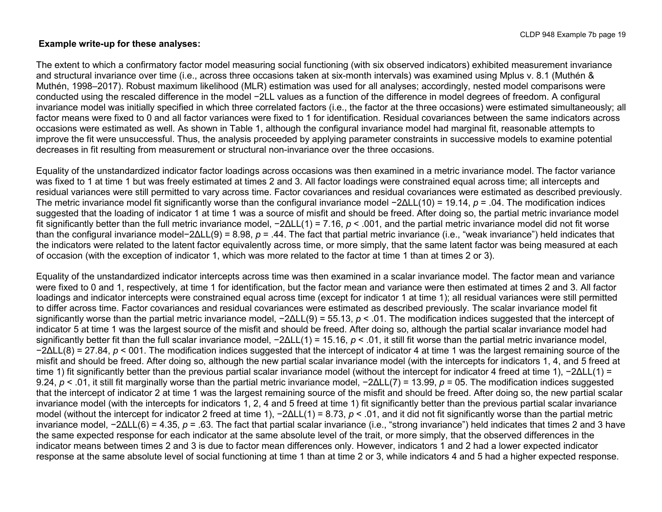#### **Example write-up for these analyses:**

The extent to which a confirmatory factor model measuring social functioning (with six observed indicators) exhibited measurement invariance and structural invariance over time (i.e., across three occasions taken at six-month intervals) was examined using Mplus v. 8.1 (Muthén & Muthén, 1998–2017). Robust maximum likelihood (MLR) estimation was used for all analyses; accordingly, nested model comparisons were conducted using the rescaled difference in the model −2LL values as a function of the difference in model degrees of freedom. A configural invariance model was initially specified in which three correlated factors (i.e., the factor at the three occasions) were estimated simultaneously; all factor means were fixed to 0 and all factor variances were fixed to 1 for identification. Residual covariances between the same indicators across occasions were estimated as well. As shown in Table 1, although the configural invariance model had marginal fit, reasonable attempts to improve the fit were unsuccessful. Thus, the analysis proceeded by applying parameter constraints in successive models to examine potential decreases in fit resulting from measurement or structural non-invariance over the three occasions.

Equality of the unstandardized indicator factor loadings across occasions was then examined in a metric invariance model. The factor variance was fixed to 1 at time 1 but was freely estimated at times 2 and 3. All factor loadings were constrained equal across time; all intercepts and residual variances were still permitted to vary across time. Factor covariances and residual covariances were estimated as described previously. The metric invariance model fit significantly worse than the configural invariance model −2ΔLL(10) = 19.14, *p* = .04. The modification indices suggested that the loading of indicator 1 at time 1 was a source of misfit and should be freed. After doing so, the partial metric invariance model fit significantly better than the full metric invariance model, −2ΔLL(1) = 7.16, *p* < .001, and the partial metric invariance model did not fit worse than the configural invariance model−2ΔLL(9) = 8.98, *p* = .44. The fact that partial metric invariance (i.e., "weak invariance") held indicates that the indicators were related to the latent factor equivalently across time, or more simply, that the same latent factor was being measured at each of occasion (with the exception of indicator 1, which was more related to the factor at time 1 than at times 2 or 3).

Equality of the unstandardized indicator intercepts across time was then examined in a scalar invariance model. The factor mean and variance were fixed to 0 and 1, respectively, at time 1 for identification, but the factor mean and variance were then estimated at times 2 and 3. All factor loadings and indicator intercepts were constrained equal across time (except for indicator 1 at time 1); all residual variances were still permitted to differ across time. Factor covariances and residual covariances were estimated as described previously. The scalar invariance model fit significantly worse than the partial metric invariance model, −2ΔLL(9) = 55.13, *p* < .01. The modification indices suggested that the intercept of indicator 5 at time 1 was the largest source of the misfit and should be freed. After doing so, although the partial scalar invariance model had significantly better fit than the full scalar invariance model, −2ΔLL(1) = 15.16, *p* < .01, it still fit worse than the partial metric invariance model, −2ΔLL(8) = 27.84, *p* < 001. The modification indices suggested that the intercept of indicator 4 at time 1 was the largest remaining source of the misfit and should be freed. After doing so, although the new partial scalar invariance model (with the intercepts for indicators 1, 4, and 5 freed at time 1) fit significantly better than the previous partial scalar invariance model (without the intercept for indicator 4 freed at time 1), −2ΔLL(1) = 9.24, *p* < .01, it still fit marginally worse than the partial metric invariance model, −2ΔLL(7) = 13.99, *p* = 05. The modification indices suggested that the intercept of indicator 2 at time 1 was the largest remaining source of the misfit and should be freed. After doing so, the new partial scalar invariance model (with the intercepts for indicators 1, 2, 4 and 5 freed at time 1) fit significantly better than the previous partial scalar invariance model (without the intercept for indicator 2 freed at time 1), −2ΔLL(1) = 8.73, *p* < .01, and it did not fit significantly worse than the partial metric invariance model, −2ΔLL(6) = 4.35, *p* = .63. The fact that partial scalar invariance (i.e., "strong invariance") held indicates that times 2 and 3 have the same expected response for each indicator at the same absolute level of the trait, or more simply, that the observed differences in the indicator means between times 2 and 3 is due to factor mean differences only. However, indicators 1 and 2 had a lower expected indicator response at the same absolute level of social functioning at time 1 than at time 2 or 3, while indicators 4 and 5 had a higher expected response.